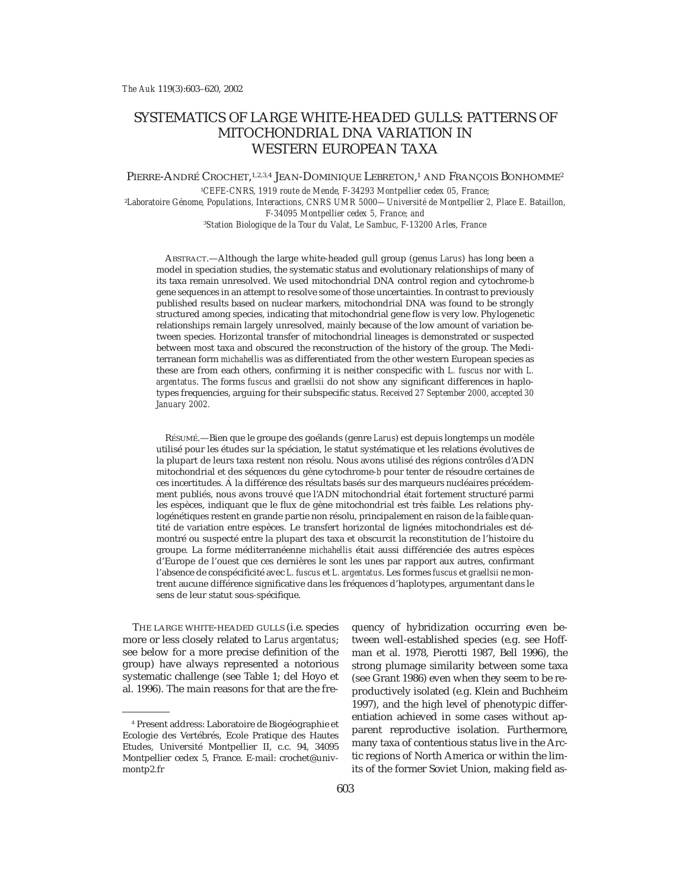# SYSTEMATICS OF LARGE WHITE-HEADED GULLS: PATTERNS OF MITOCHONDRIAL DNA VARIATION IN WESTERN EUROPEAN TAXA

Pierre-André Crochet,<sup>1.2,3,4</sup> Jean-Dominique Lebreton,<sup>1</sup> and François Bonhomme<sup>2</sup>

1 *CEFE-CNRS, 1919 route de Mende, F-34293 Montpellier cedex 05, France;*

<sup>2</sup>Laboratoire Génome, Populations, Interactions, CNRS UMR 5000—Université de Montpellier 2, Place E. Bataillon, *F-34095 Montpellier cedex 5, France; and*

3 *Station Biologique de la Tour du Valat, Le Sambuc, F-13200 Arles, France*

ABSTRACT.—Although the large white-headed gull group (genus *Larus*) has long been a model in speciation studies, the systematic status and evolutionary relationships of many of its taxa remain unresolved. We used mitochondrial DNA control region and cytochrome-*b* gene sequences in an attempt to resolve some of those uncertainties. In contrast to previously published results based on nuclear markers, mitochondrial DNA was found to be strongly structured among species, indicating that mitochondrial gene flow is very low. Phylogenetic relationships remain largely unresolved, mainly because of the low amount of variation between species. Horizontal transfer of mitochondrial lineages is demonstrated or suspected between most taxa and obscured the reconstruction of the history of the group. The Mediterranean form *michahellis* was as differentiated from the other western European species as these are from each others, confirming it is neither conspecific with *L. fuscus* nor with *L. argentatus*. The forms *fuscus* and *graellsii* do not show any significant differences in haplotypes frequencies, arguing for their subspecific status. *Received 27 September 2000, accepted 30 January 2002.*

RÉSUMÉ. -Bien que le groupe des goélands (genre *Larus*) est depuis longtemps un modèle utilisé pour les études sur la spéciation, le statut systématique et les relations évolutives de la plupart de leurs taxa restent non résolu. Nous avons utilisé des régions contrôles d'ADN mitochondrial et des séquences du gène cytochrome-b pour tenter de résoudre certaines de ces incertitudes. À la différence des résultats basés sur des marqueurs nucléaires précédemment publiés, nous avons trouvé que l'ADN mitochondrial était fortement structuré parmi les espèces, indiquant que le flux de gène mitochondrial est très faible. Les relations phylogénétiques restent en grande partie non résolu, principalement en raison de la faible quantité de variation entre espèces. Le transfert horizontal de lignées mitochondriales est démontré ou suspecté entre la plupart des taxa et obscurcit la reconstitution de l'histoire du groupe. La forme méditerranéenne *michahellis* était aussi différenciée des autres espèces d'Europe de l'ouest que ces dernières le sont les unes par rapport aux autres, confirmant l'absence de conspécificité avec *L. fuscus* et *L. argentatus*. Les formes *fuscus* et *graellsii* ne montrent aucune différence significative dans les fréquences d'haplotypes, argumentant dans le sens de leur statut sous-spécifique.

THE LARGE WHITE-HEADED GULLS (i.e. species more or less closely related to *Larus argentatus*; see below for a more precise definition of the group) have always represented a notorious systematic challenge (see Table 1; del Hoyo et al. 1996). The main reasons for that are the frequency of hybridization occurring even between well-established species (e.g. see Hoffman et al. 1978, Pierotti 1987, Bell 1996), the strong plumage similarity between some taxa (see Grant 1986) even when they seem to be reproductively isolated (e.g. Klein and Buchheim 1997), and the high level of phenotypic differentiation achieved in some cases without apparent reproductive isolation. Furthermore, many taxa of contentious status live in the Arctic regions of North America or within the limits of the former Soviet Union, making field as-

<sup>&</sup>lt;sup>4</sup> Present address: Laboratoire de Biogéographie et Ecologie des Vertébrés, Ecole Pratique des Hautes Etudes, Université Montpellier II, c.c. 94, 34095 Montpellier cedex 5, France. E-mail: crochet@univmontp2.fr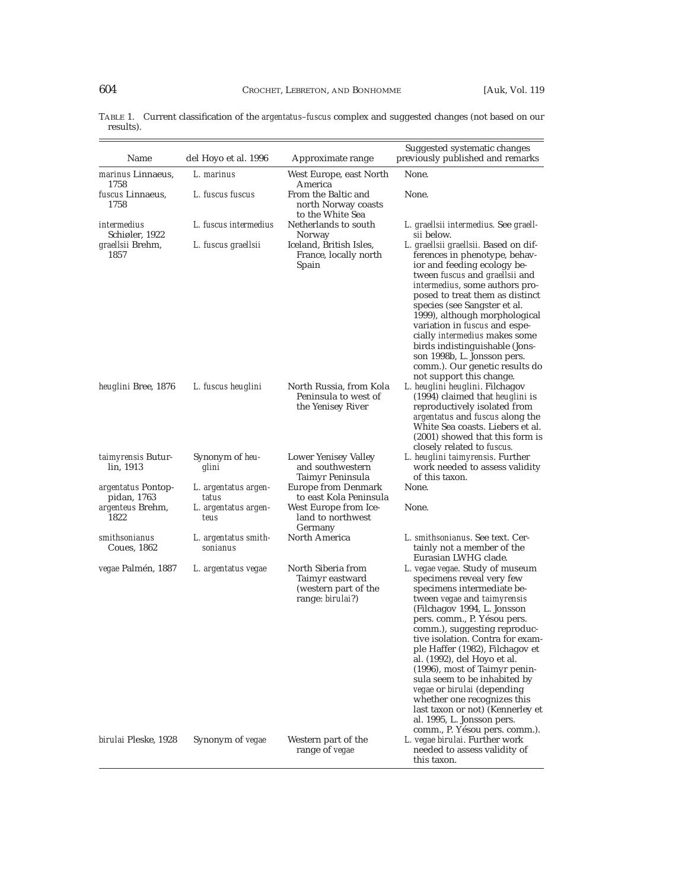| Name                                     | del Hoyo et al. 1996             | Approximate range                                                                         | Suggested systematic changes<br>previously published and remarks                                                                                                                                                                                                                                                                                                                                                                                                                                                                                                              |
|------------------------------------------|----------------------------------|-------------------------------------------------------------------------------------------|-------------------------------------------------------------------------------------------------------------------------------------------------------------------------------------------------------------------------------------------------------------------------------------------------------------------------------------------------------------------------------------------------------------------------------------------------------------------------------------------------------------------------------------------------------------------------------|
| <i>marinus</i> Linnaeus,<br>1758         | L. marinus                       | West Europe, east North<br>America                                                        | None.                                                                                                                                                                                                                                                                                                                                                                                                                                                                                                                                                                         |
| <i>fuscus</i> Linnaeus,<br>1758          | L. fuscus fuscus                 | From the Baltic and<br>north Norway coasts<br>to the White Sea                            | None.                                                                                                                                                                                                                                                                                                                                                                                                                                                                                                                                                                         |
| intermedius<br>Schiøler, 1922            | L. fuscus intermedius            | Netherlands to south<br>Norway                                                            | L. graellsii intermedius. See graell-<br>sii below.                                                                                                                                                                                                                                                                                                                                                                                                                                                                                                                           |
| <i>graellsii</i> Brehm,<br>1857          | L. fuscus graellsii              | Iceland, British Isles,<br>France, locally north<br>Spain                                 | L. graellsii graellsii. Based on dif-<br>ferences in phenotype, behav-<br>ior and feeding ecology be-<br>tween <i>fuscus</i> and <i>graellsii</i> and<br>intermedius, some authors pro-<br>posed to treat them as distinct<br>species (see Sangster et al.<br>1999), although morphological<br>variation in <i>fuscus</i> and espe-<br>cially <i>intermedius</i> makes some<br>birds indistinguishable (Jons-<br>son 1998b, L. Jonsson pers.<br>comm.). Our genetic results do<br>not support this change.                                                                    |
| heuglini Bree, 1876                      | L. fuscus heuglini               | North Russia, from Kola<br>Peninsula to west of<br>the Yenisey River                      | L. heuglini heuglini. Filchagov<br>(1994) claimed that <i>heuglini</i> is<br>reproductively isolated from<br><i>argentatus</i> and <i>fuscus</i> along the<br>White Sea coasts. Liebers et al.<br>(2001) showed that this form is<br>closely related to fuscus.                                                                                                                                                                                                                                                                                                               |
| <i>taimyrensis</i> Butur-<br>lin, 1913   | Synonym of heu-<br>glini         | Lower Yenisey Valley<br>and southwestern<br>Taimyr Peninsula                              | L. heuglini taimyrensis. Further<br>work needed to assess validity<br>of this taxon.                                                                                                                                                                                                                                                                                                                                                                                                                                                                                          |
| <i>argentatus</i> Pontop-<br>pidan, 1763 | L. argentatus argen-<br>tatus    | Europe from Denmark<br>to east Kola Peninsula                                             | None.                                                                                                                                                                                                                                                                                                                                                                                                                                                                                                                                                                         |
| <i>argenteus</i> Brehm,<br>1822          | L. argentatus argen-<br>teus     | West Europe from Ice-<br>land to northwest<br>Germany                                     | None.                                                                                                                                                                                                                                                                                                                                                                                                                                                                                                                                                                         |
| smithsonianus<br>Coues, 1862             | L. argentatus smith-<br>sonianus | North America                                                                             | L. smithsonianus. See text. Cer-<br>tainly not a member of the<br>Eurasian LWHG clade.                                                                                                                                                                                                                                                                                                                                                                                                                                                                                        |
| <i>vegae</i> Palmén, 1887                | L. argentatus vegae              | North Siberia from<br>Taimyr eastward<br>(western part of the<br>range: <i>birulai</i> ?) | L. vegae vegae. Study of museum<br>specimens reveal very few<br>specimens intermediate be-<br>tween vegae and taimyrensis<br>(Filchagov 1994, L. Jonsson<br>pers. comm., P. Yésou pers.<br>comm.), suggesting reproduc-<br>tive isolation. Contra for exam-<br>ple Haffer (1982), Filchagov et<br>al. (1992), del Hoyo et al.<br>(1996), most of Taimyr penin-<br>sula seem to be inhabited by<br><i>vegae</i> or <i>birulai</i> (depending<br>whether one recognizes this<br>last taxon or not) (Kennerley et<br>al. 1995, L. Jonsson pers.<br>comm., P. Yésou pers. comm.). |
| birulai Pleske, 1928                     | Synonym of <i>vegae</i>          | Western part of the<br>range of vegae                                                     | L. vegae birulai. Further work<br>needed to assess validity of<br>this taxon.                                                                                                                                                                                                                                                                                                                                                                                                                                                                                                 |

TABLE 1. Current classification of the *argentatus*–*fuscus* complex and suggested changes (not based on our results).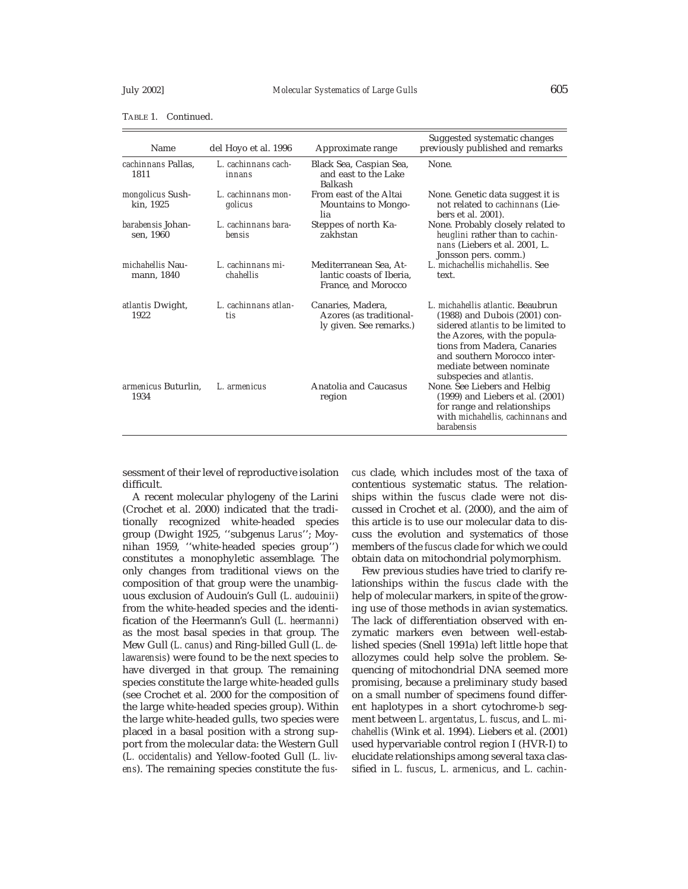| Name                                  | del Hoyo et al. 1996           | Approximate range                                                         | Suggested systematic changes<br>previously published and remarks                                                                                                                                                                                                                 |
|---------------------------------------|--------------------------------|---------------------------------------------------------------------------|----------------------------------------------------------------------------------------------------------------------------------------------------------------------------------------------------------------------------------------------------------------------------------|
| <i>cachinnans</i> Pallas.<br>1811     | L. cachinnans cach-<br>innans  | Black Sea, Caspian Sea,<br>and east to the Lake<br><b>Balkash</b>         | None.                                                                                                                                                                                                                                                                            |
| <i>mongolicus</i> Sush-<br>kin, 1925  | L. cachinnans mon-<br>golicus  | From east of the Altai<br>Mountains to Mongo-<br>lia                      | None. Genetic data suggest it is<br>not related to cachinnans (Lie-<br>bers et al. 2001).                                                                                                                                                                                        |
| barabensis Johan-<br>sen, 1960        | L. cachinnans bara-<br>bensis  | Steppes of north Ka-<br>zakhstan                                          | None. Probably closely related to<br>heuglini rather than to cachin-<br>nans (Liebers et al. 2001, L.<br>Jonsson pers. comm.)                                                                                                                                                    |
| <i>michahellis</i> Nau-<br>mann, 1840 | L. cachinnans mi-<br>chahellis | Mediterranean Sea. At-<br>lantic coasts of Iberia.<br>France, and Morocco | L. michachellis michahellis. See<br>text.                                                                                                                                                                                                                                        |
| <i>atlantis</i> Dwight,<br>1922       | L. cachinnans atlan-<br>tis    | Canaries, Madera,<br>Azores (as traditional-<br>ly given. See remarks.)   | L. michabellis atlantic. Beaubrun<br>$(1988)$ and Dubois $(2001)$ con-<br>sidered <i>atlantis</i> to be limited to<br>the Azores, with the popula-<br>tions from Madera. Canaries<br>and southern Morocco inter-<br>mediate between nominate<br>subspecies and <i>atlantis</i> . |
| <i>armenicus</i> Buturlin.<br>1934    | L. armenicus                   | Anatolia and Caucasus<br>region                                           | None. See Liebers and Helbig<br>$(1999)$ and Liebers et al. $(2001)$<br>for range and relationships<br>with michahellis, cachinnans and<br><b>barabensis</b>                                                                                                                     |

TABLE 1. Continued.

sessment of their level of reproductive isolation difficult.

A recent molecular phylogeny of the Larini (Crochet et al. 2000) indicated that the traditionally recognized white-headed species group (Dwight 1925, ''subgenus *Larus*''; Moynihan 1959, ''white-headed species group'') constitutes a monophyletic assemblage. The only changes from traditional views on the composition of that group were the unambiguous exclusion of Audouin's Gull (*L. audouinii*) from the white-headed species and the identification of the Heermann's Gull (*L. heermanni*) as the most basal species in that group. The Mew Gull (*L. canus*) and Ring-billed Gull (*L. delawarensis*) were found to be the next species to have diverged in that group. The remaining species constitute the large white-headed gulls (see Crochet et al. 2000 for the composition of the large white-headed species group). Within the large white-headed gulls, two species were placed in a basal position with a strong support from the molecular data: the Western Gull (*L. occidentalis*) and Yellow-footed Gull (*L. livens*). The remaining species constitute the *fus-* *cus* clade, which includes most of the taxa of contentious systematic status. The relationships within the *fuscus* clade were not discussed in Crochet et al. (2000), and the aim of this article is to use our molecular data to discuss the evolution and systematics of those members of the *fuscus* clade for which we could obtain data on mitochondrial polymorphism.

Few previous studies have tried to clarify relationships within the *fuscus* clade with the help of molecular markers, in spite of the growing use of those methods in avian systematics. The lack of differentiation observed with enzymatic markers even between well-established species (Snell 1991a) left little hope that allozymes could help solve the problem. Sequencing of mitochondrial DNA seemed more promising, because a preliminary study based on a small number of specimens found different haplotypes in a short cytochrome-*b* segment between *L. argentatus*, *L. fuscus*, and *L. michahellis* (Wink et al. 1994). Liebers et al. (2001) used hypervariable control region I (HVR-I) to elucidate relationships among several taxa classified in *L. fuscus*, *L. armenicus*, and *L. cachin-*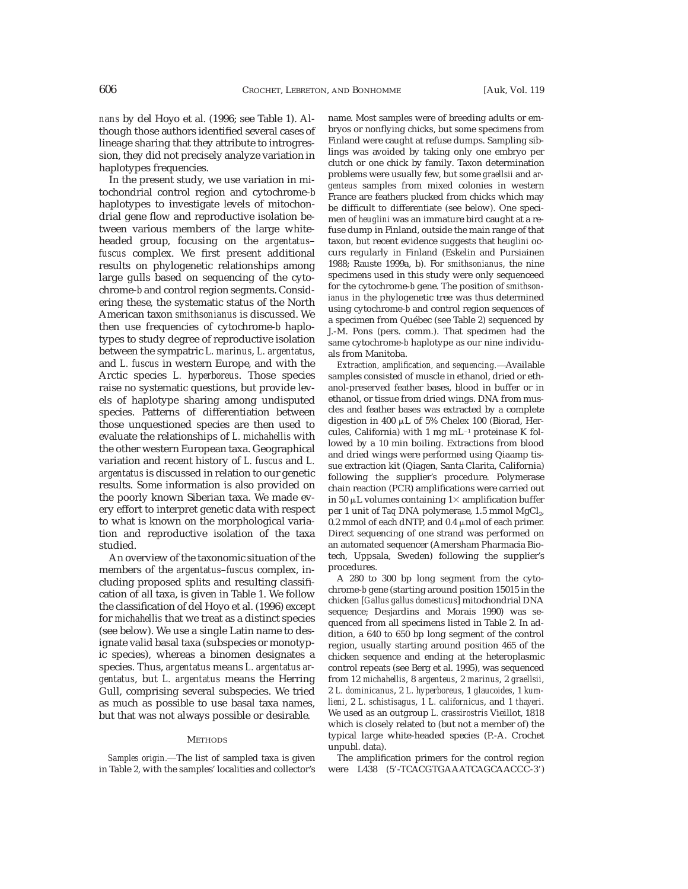*nans* by del Hoyo et al. (1996; see Table 1). Although those authors identified several cases of lineage sharing that they attribute to introgression, they did not precisely analyze variation in haplotypes frequencies.

In the present study, we use variation in mitochondrial control region and cytochrome-*b* haplotypes to investigate levels of mitochondrial gene flow and reproductive isolation between various members of the large whiteheaded group, focusing on the *argentatus*– *fuscus* complex. We first present additional results on phylogenetic relationships among large gulls based on sequencing of the cytochrome-*b* and control region segments. Considering these, the systematic status of the North American taxon *smithsonianus* is discussed. We then use frequencies of cytochrome-*b* haplotypes to study degree of reproductive isolation between the sympatric *L. marinus*, *L. argentatus*, and *L. fuscus* in western Europe, and with the Arctic species *L. hyperboreus*. Those species raise no systematic questions, but provide levels of haplotype sharing among undisputed species. Patterns of differentiation between those unquestioned species are then used to evaluate the relationships of *L. michahellis* with the other western European taxa. Geographical variation and recent history of *L. fuscus* and *L. argentatus* is discussed in relation to our genetic results. Some information is also provided on the poorly known Siberian taxa. We made every effort to interpret genetic data with respect to what is known on the morphological variation and reproductive isolation of the taxa studied.

An overview of the taxonomic situation of the members of the *argentatus*–*fuscus* complex, including proposed splits and resulting classification of all taxa, is given in Table 1. We follow the classification of del Hoyo et al. (1996) except for *michahellis* that we treat as a distinct species (see below). We use a single Latin name to designate valid basal taxa (subspecies or monotypic species), whereas a binomen designates a species. Thus, *argentatus* means *L. argentatus argentatus*, but *L. argentatus* means the Herring Gull, comprising several subspecies. We tried as much as possible to use basal taxa names, but that was not always possible or desirable.

#### **METHODS**

Samples origin.<sup>-The list of sampled taxa is given</sup> in Table 2, with the samples' localities and collector's name. Most samples were of breeding adults or embryos or nonflying chicks, but some specimens from Finland were caught at refuse dumps. Sampling siblings was avoided by taking only one embryo per clutch or one chick by family. Taxon determination problems were usually few, but some *graellsii* and *argenteus* samples from mixed colonies in western France are feathers plucked from chicks which may be difficult to differentiate (see below). One specimen of *heuglini* was an immature bird caught at a refuse dump in Finland, outside the main range of that taxon, but recent evidence suggests that *heuglini* occurs regularly in Finland (Eskelin and Pursiainen 1988; Rauste 1999a, b). For *smithsonianus*, the nine specimens used in this study were only sequenceed for the cytochrome-*b* gene. The position of *smithsonianus* in the phylogenetic tree was thus determined using cytochrome-*b* and control region sequences of a specimen from Québec (see Table 2) sequenced by J.-M. Pons (pers. comm.). That specimen had the same cytochrome-*b* haplotype as our nine individuals from Manitoba.

*Extraction, amplification, and sequencing.* Available samples consisted of muscle in ethanol, dried or ethanol-preserved feather bases, blood in buffer or in ethanol, or tissue from dried wings. DNA from muscles and feather bases was extracted by a complete digestion in 400  $\mu$ L of 5% Chelex 100 (Biorad, Hercules, California) with 1 mg mL<sup>-1</sup> proteinase K followed by a 10 min boiling. Extractions from blood and dried wings were performed using Qiaamp tissue extraction kit (Qiagen, Santa Clarita, California) following the supplier's procedure. Polymerase chain reaction (PCR) amplifications were carried out in 50  $\mu$ L volumes containing 1 $\times$  amplification buffer per 1 unit of *Taq* DNA polymerase, 1.5 mmol MgCl<sub>2</sub>, 0.2 mmol of each dNTP, and 0.4  $\mu$ mol of each primer. Direct sequencing of one strand was performed on an automated sequencer (Amersham Pharmacia Biotech, Uppsala, Sweden) following the supplier's procedures.

A 280 to 300 bp long segment from the cytochrome-*b* gene (starting around position 15015 in the chicken [*Gallus gallus domesticus*] mitochondrial DNA sequence; Desjardins and Morais 1990) was sequenced from all specimens listed in Table 2. In addition, a 640 to 650 bp long segment of the control region, usually starting around position 465 of the chicken sequence and ending at the heteroplasmic control repeats (see Berg et al. 1995), was sequenced from 12 *michahellis*, 8 *argenteus*, 2 *marinus*, 2 *graellsii*, 2 *L. dominicanus*, 2 *L. hyperboreus*, 1 *glaucoides*, 1 *kumlieni*, 2 *L. schistisagus*, 1 *L. californicus*, and 1 *thayeri*. We used as an outgroup *L. crassirostris* Vieillot, 1818 which is closely related to (but not a member of) the typical large white-headed species (P.-A. Crochet unpubl. data).

The amplification primers for the control region were L438 (5'-TCACGTGAAATCAGCAACCC-3')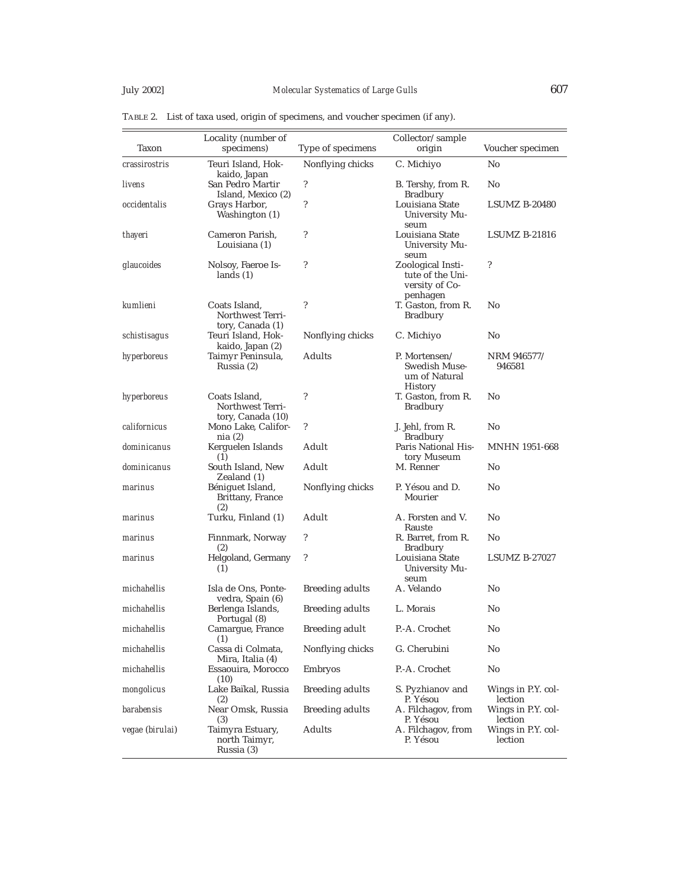|                 | Locality (number of                                    |                        |                                                                     |                               |
|-----------------|--------------------------------------------------------|------------------------|---------------------------------------------------------------------|-------------------------------|
| Taxon           | specimens)                                             | Type of specimens      | origin                                                              | Voucher specimen              |
| crassirostris   | Teuri Island. Hok-<br>kaido, Japan                     | Nonflying chicks       | C. Michiyo                                                          | No                            |
| livens          | San Pedro Martir<br>Island, Mexico (2)                 | ?                      | B. Tershy, from R.<br><b>Bradbury</b>                               | No.                           |
| occidentalis    | Grays Harbor,<br>Washington (1)                        | ?                      | Louisiana State<br>University Mu-<br>seum                           | <b>LSUMZ B-20480</b>          |
| thayeri         | Cameron Parish,<br>Louisiana (1)                       | ?                      | Louisiana State<br>University Mu-<br>seum                           | <b>LSUMZ B-21816</b>          |
| glaucoides      | Nolsoy, Faeroe Is-<br>lands $(1)$                      | ?                      | Zoological Insti-<br>tute of the Uni-<br>versity of Co-<br>penhagen | ?                             |
| kumlieni        | Coats Island,<br>Northwest Terri-<br>tory, Canada (1)  | ?                      | T. Gaston, from R.<br><b>Bradbury</b>                               | No.                           |
| schistisagus    | Teuri Island, Hok-<br>kaido, Japan (2)                 | Nonflying chicks       | C. Michiyo                                                          | No                            |
| hyperboreus     | Taimyr Peninsula,<br>Russia (2)                        | Adults                 | P. Mortensen/<br>Swedish Muse-<br>um of Natural<br>History          | NRM 946577/<br>946581         |
| hyperboreus     | Coats Island,<br>Northwest Terri-<br>tory, Canada (10) | ?                      | T. Gaston, from R.<br><b>Bradbury</b>                               | No                            |
| californicus    | Mono Lake, Califor-<br>nia(2)                          | ?                      | J. Jehl, from R.<br><b>Bradbury</b>                                 | No.                           |
| dominicanus     | Kerguelen Islands<br>(1)                               | Adult                  | Paris National His-<br>tory Museum                                  | <b>MNHN 1951-668</b>          |
| dominicanus     | South Island, New<br>Zealand (1)                       | Adult                  | M. Renner                                                           | No.                           |
| marinus         | Béniguet Island,<br>Brittany, France<br>(2)            | Nonflying chicks       | P. Yésou and D.<br>Mourier                                          | No.                           |
| marinus         | Turku, Finland (1)                                     | Adult                  | A. Forsten and V.<br>Rauste                                         | No                            |
| marinus         | Finnmark, Norway<br>(2)                                | ?                      | R. Barret, from R.<br><b>Bradbury</b>                               | No                            |
| marinus         | Helgoland, Germany<br>(1)                              | ?                      | Louisiana State<br>University Mu-<br>seum                           | <b>LSUMZ B-27027</b>          |
| michahellis     | Isla de Ons, Ponte-<br>vedra, Spain (6)                | <b>Breeding adults</b> | A. Velando                                                          | No.                           |
| michahellis     | Berlenga Islands,<br>Portugal (8)                      | Breeding adults        | L. Morais                                                           | No                            |
| michahellis     | Camargue, France<br>(1)                                | Breeding adult         | P.-A. Crochet                                                       | No.                           |
| michahellis     | Cassa di Colmata,<br>Mira, Italia (4)                  | Nonflying chicks       | G. Cherubini                                                        | No                            |
| michahellis     | Essaouira, Morocco<br>(10)                             | Embryos                | P.-A. Crochet                                                       | No                            |
| mongolicus      | Lake Baïkal, Russia<br>(2)                             | <b>Breeding adults</b> | S. Pyzhianov and<br>P. Yésou                                        | Wings in P.Y. col-<br>lection |
| barabensis      | Near Omsk, Russia<br>(3)                               | <b>Breeding adults</b> | A. Filchagov, from<br>P. Yésou                                      | Wings in P.Y. col-<br>lection |
| vegae (birulai) | Taimyra Estuary,<br>north Taimyr,<br>Russia (3)        | <b>Adults</b>          | A. Filchagov, from<br>P. Yésou                                      | Wings in P.Y. col-<br>lection |

TABLE 2. List of taxa used, origin of specimens, and voucher specimen (if any).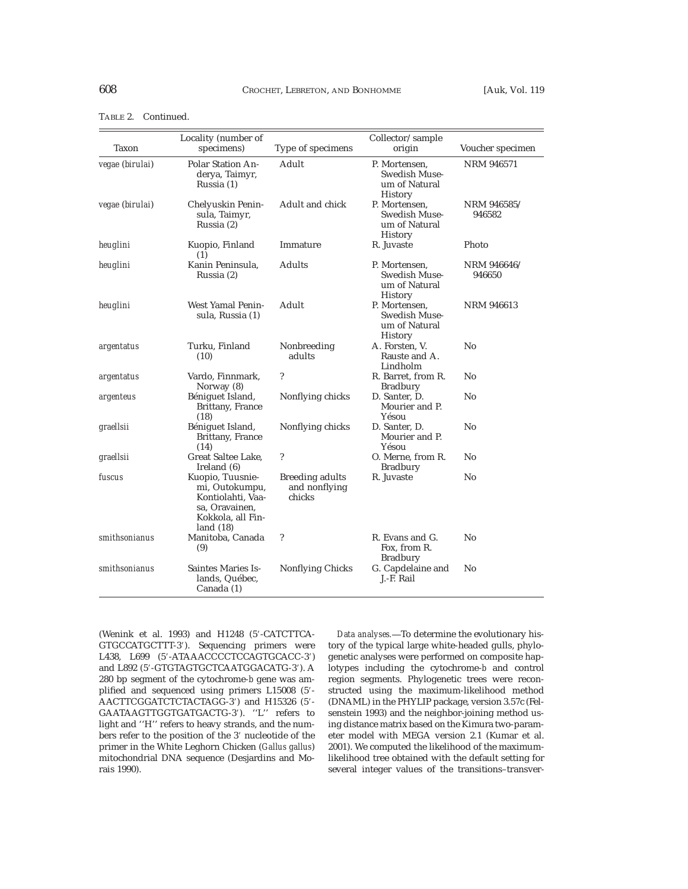| Taxon           | Locality (number of<br>specimens)                                                                          | Type of specimens                                 | Collector/sample<br>origin                                        | Voucher specimen      |
|-----------------|------------------------------------------------------------------------------------------------------------|---------------------------------------------------|-------------------------------------------------------------------|-----------------------|
| vegae (birulai) | <b>Polar Station An-</b><br>derya, Taimyr,<br>Russia (1)                                                   | Adult                                             | P. Mortensen,<br>Swedish Muse-<br>um of Natural<br><b>History</b> | <b>NRM 946571</b>     |
| vegae (birulai) | Chelyuskin Penin-<br>sula, Taimyr,<br>Russia (2)                                                           | Adult and chick                                   | P. Mortensen,<br>Swedish Muse-<br>um of Natural<br>History        | NRM 946585/<br>946582 |
| heuglini        | Kuopio, Finland<br>(1)                                                                                     | Immature                                          | R. Juvaste                                                        | Photo                 |
| heuglini        | Kanin Peninsula,<br>Russia (2)                                                                             | <b>Adults</b>                                     | P. Mortensen,<br>Swedish Muse-<br>um of Natural<br><b>History</b> | NRM 946646/<br>946650 |
| heuglini        | West Yamal Penin-<br>sula, Russia (1)                                                                      | Adult                                             | P. Mortensen,<br>Swedish Muse-<br>um of Natural<br>History        | NRM 946613            |
| argentatus      | Turku, Finland<br>(10)                                                                                     | Nonbreeding<br>adults                             | A. Forsten, V.<br>Rauste and A.<br>Lindholm                       | No                    |
| argentatus      | Vardo, Finnmark,<br>Norway (8)                                                                             | $\overline{\mathcal{L}}$                          | R. Barret, from R.<br><b>Bradbury</b>                             | No                    |
| argenteus       | Béniguet Island,<br>Brittany, France<br>(18)                                                               | Nonflying chicks                                  | D. Santer, D.<br>Mourier and P.<br>Yésou                          | No                    |
| graellsii       | Béniguet Island,<br>Brittany, France<br>(14)                                                               | Nonflying chicks                                  | D. Santer. D.<br>Mourier and P.<br>Yésou                          | No                    |
| graellsii       | Great Saltee Lake,<br>Ireland (6)                                                                          | ?                                                 | O. Merne, from R.<br><b>Bradbury</b>                              | No                    |
| fuscus          | Kuopio, Tuusnie-<br>mi, Outokumpu,<br>Kontiolahti, Vaa-<br>sa, Oravainen,<br>Kokkola, all Fin-<br>land(18) | <b>Breeding adults</b><br>and nonflying<br>chicks | R. Juvaste                                                        | No.                   |
| smithsonianus   | Manitoba, Canada<br>(9)                                                                                    | $\overline{\cdot}$                                | R. Evans and G.<br>Fox, from R.<br><b>Bradbury</b>                | No                    |
| smithsonianus   | Saintes Maries Is-<br>lands, Québec,<br>Canada (1)                                                         | Nonflying Chicks                                  | G. Capdelaine and<br>J.-F. Rail                                   | No.                   |

TABLE 2. Continued.

(Wenink et al. 1993) and H1248 (5'-CATCTTCA-GTGCCATGCTTT-3'). Sequencing primers were L438, L699 (5'-ATAAACCCCTCCAGTGCACC-3') and L892 (5'-GTGTAGTGCTCAATGGACATG-3'). A 280 bp segment of the cytochrome-*b* gene was amplified and sequenced using primers L15008 (5'-AACTTCGGATCTCTACTAGG-3') and H15326 (5'-GAATAAGTTGGTGATGACTG-3'). "L" refers to light and ''H'' refers to heavy strands, and the numbers refer to the position of the 3' nucleotide of the primer in the White Leghorn Chicken (*Gallus gallus*) mitochondrial DNA sequence (Desjardins and Morais 1990).

*Data analyses.* To determine the evolutionary history of the typical large white-headed gulls, phylogenetic analyses were performed on composite haplotypes including the cytochrome-*b* and control region segments. Phylogenetic trees were reconstructed using the maximum-likelihood method (DNAML) in the PHYLIP package, version 3.57c (Felsenstein 1993) and the neighbor-joining method using distance matrix based on the Kimura two-parameter model with MEGA version 2.1 (Kumar et al. 2001). We computed the likelihood of the maximumlikelihood tree obtained with the default setting for several integer values of the transitions–transver-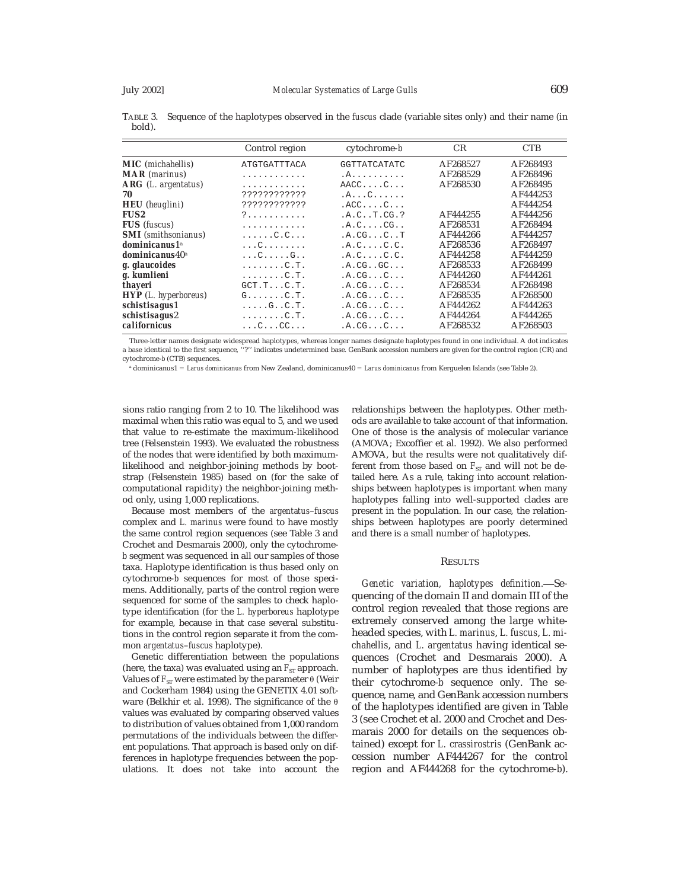|                                   | Control region                         | cytochrome-b    | CR       | <b>CTB</b> |
|-----------------------------------|----------------------------------------|-----------------|----------|------------|
| <b>MIC</b> ( <i>michahellis</i> ) | ATGTGATTTACA                           | GGTTATCATATC    | AF268527 | AF268493   |
| <b>MAR</b> ( <i>marinus</i> )     | .                                      | . A             | AF268529 | AF268496   |
| ARG (L. argentatus)               | .                                      | $AACC.$ $C.$    | AF268530 | AF268495   |
| 70                                | ????????????                           | .A. C.          |          | AF444253   |
| <b>HEU</b> (heuglini)             | ????????????                           | $ACC$ $C$       |          | AF444254   |
| <b>FUS2</b>                       | ?                                      | .A.CT.CG.?      | AF444255 | AF444256   |
| <b>FUS</b> (fuscus)               | .                                      | $.A.C.$ $CG.$ . | AF268531 | AF268494   |
| <b>SMI</b> (smithsonianus)        | $\ldots$ $\subset$ . $\subset$         | .A.CG.C. .T     | AF444266 | AF444257   |
| $dominicanus1^a$                  | . C                                    | $.A.C.$ $C.C.$  | AF268536 | AF268497   |
| $domimizations40^{\circ}$         | $\ldots$ C. $\ldots$ . G. .            | $.A.C.$ $C.C.$  | AF444258 | AF444259   |
| g. glaucoides                     | $\ldots \ldots \ldots C.$ T.           | $.A.CGGC.$      | AF268533 | AF268499   |
| g. kumlieni                       | $\ldots \ldots \ldots C.$ T.           | .A.CG.C. .      | AF444260 | AF444261   |
| <i>thayeri</i>                    | GCT.TC.T.                              | .A.CG.C. .      | AF268534 | AF268498   |
| HYP(L. hyperboreus)               | $G \ldots \ldots C \ldots T$ .         | $.A.CG.$ . $C.$ | AF268535 | AF268500   |
| schistisagus1                     | $\ldots$ . G. $\ldots$ . T.            | .A.CG.C. .      | AF444262 | AF444263   |
| schistisagus2                     | $\ldots \ldots \ldots$ . $\ldots$ . T. | .A.CG.C. .      | AF444264 | AF444265   |
| <i>californicus</i>               | $\ldots$ C. $\ldots$ CC. $\ldots$      | $.A.CG.$ . $C.$ | AF268532 | AF268503   |

TABLE 3. Sequence of the haplotypes observed in the *fuscus* clade (variable sites only) and their name (in bold).

Three-letter names designate widespread haplotypes, whereas longer names designate haplotypes found in one individual. A dot indicates a base identical to the first sequence, ''?'' indicates undetermined base. GenBank accession numbers are given for the control region (CR) and cytochrome-*b* (CTB) sequences.

<sup>a</sup> dominicanus1 = Larus dominicanus from New Zealand, dominicanus40 = Larus dominicanus from Kerguelen Islands (see Table 2).

sions ratio ranging from 2 to 10. The likelihood was maximal when this ratio was equal to 5, and we used that value to re-estimate the maximum-likelihood tree (Felsenstein 1993). We evaluated the robustness of the nodes that were identified by both maximumlikelihood and neighbor-joining methods by bootstrap (Felsenstein 1985) based on (for the sake of computational rapidity) the neighbor-joining method only, using 1,000 replications.

Because most members of the *argentatus*–*fuscus* complex and *L. marinus* were found to have mostly the same control region sequences (see Table 3 and Crochet and Desmarais 2000), only the cytochrome*b* segment was sequenced in all our samples of those taxa. Haplotype identification is thus based only on cytochrome-*b* sequences for most of those specimens. Additionally, parts of the control region were sequenced for some of the samples to check haplotype identification (for the *L. hyperboreus* haplotype for example, because in that case several substitutions in the control region separate it from the common *argentatus*–*fuscus* haplotype).

Genetic differentiation between the populations (here, the taxa) was evaluated using an  $F_{ST}$  approach. Values of  $F_{ST}$  were estimated by the parameter  $\theta$  (Weir and Cockerham 1984) using the GENETIX 4.01 software (Belkhir et al. 1998). The significance of the  $\theta$ values was evaluated by comparing observed values to distribution of values obtained from 1,000 random permutations of the individuals between the different populations. That approach is based only on differences in haplotype frequencies between the populations. It does not take into account the

relationships between the haplotypes. Other methods are available to take account of that information. One of those is the analysis of molecular variance (AMOVA; Excoffier et al. 1992). We also performed AMOVA, but the results were not qualitatively different from those based on  $F_{ST}$  and will not be detailed here. As a rule, taking into account relationships between haplotypes is important when many haplotypes falling into well-supported clades are present in the population. In our case, the relationships between haplotypes are poorly determined and there is a small number of haplotypes.

#### RESULTS

*Genetic variation, haplotypes definition.* Sequencing of the domain II and domain III of the control region revealed that those regions are extremely conserved among the large whiteheaded species, with *L. marinus*, *L. fuscus*, *L. michahellis*, and *L. argentatus* having identical sequences (Crochet and Desmarais 2000). A number of haplotypes are thus identified by their cytochrome-*b* sequence only. The sequence, name, and GenBank accession numbers of the haplotypes identified are given in Table 3 (see Crochet et al. 2000 and Crochet and Desmarais 2000 for details on the sequences obtained) except for *L. crassirostris* (GenBank accession number AF444267 for the control region and AF444268 for the cytochrome-*b*).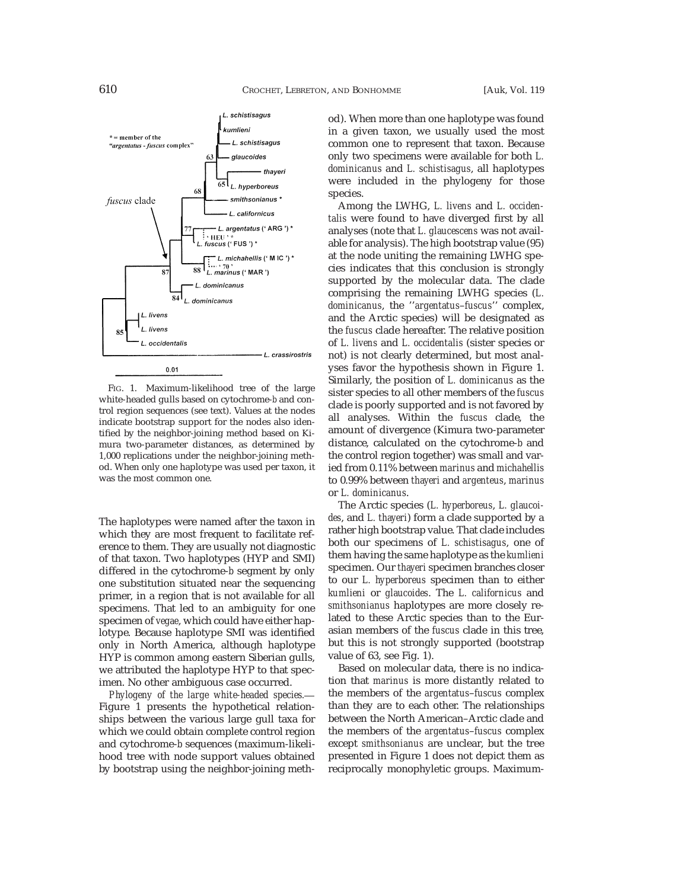

FIG. 1. Maximum-likelihood tree of the large white-headed gulls based on cytochrome-*b* and control region sequences (see text). Values at the nodes indicate bootstrap support for the nodes also identified by the neighbor-joining method based on Kimura two-parameter distances, as determined by 1,000 replications under the neighbor-joining method. When only one haplotype was used per taxon, it was the most common one.

The haplotypes were named after the taxon in which they are most frequent to facilitate reference to them. They are usually not diagnostic of that taxon. Two haplotypes (HYP and SMI) differed in the cytochrome-*b* segment by only one substitution situated near the sequencing primer, in a region that is not available for all specimens. That led to an ambiguity for one specimen of *vegae*, which could have either haplotype. Because haplotype SMI was identified only in North America, although haplotype HYP is common among eastern Siberian gulls, we attributed the haplotype HYP to that specimen. No other ambiguous case occurred.

*Phylogeny of the large white-headed species.* Figure 1 presents the hypothetical relationships between the various large gull taxa for which we could obtain complete control region and cytochrome-*b* sequences (maximum-likelihood tree with node support values obtained by bootstrap using the neighbor-joining method). When more than one haplotype was found in a given taxon, we usually used the most common one to represent that taxon. Because only two specimens were available for both *L. dominicanus* and *L. schistisagus*, all haplotypes were included in the phylogeny for those species.

Among the LWHG, *L. livens* and *L. occidentalis* were found to have diverged first by all analyses (note that *L. glaucescens* was not available for analysis). The high bootstrap value (95) at the node uniting the remaining LWHG species indicates that this conclusion is strongly supported by the molecular data. The clade comprising the remaining LWHG species (*L. dominicanus*, the ''*argentatus*–*fuscus*'' complex, and the Arctic species) will be designated as the *fuscus* clade hereafter. The relative position of *L. livens* and *L. occidentalis* (sister species or not) is not clearly determined, but most analyses favor the hypothesis shown in Figure 1. Similarly, the position of *L. dominicanus* as the sister species to all other members of the *fuscus* clade is poorly supported and is not favored by all analyses. Within the *fuscus* clade, the amount of divergence (Kimura two-parameter distance, calculated on the cytochrome-*b* and the control region together) was small and varied from 0.11% between *marinus* and *michahellis* to 0.99% between *thayeri* and *argenteus*, *marinus* or *L. dominicanus*.

The Arctic species (*L. hyperboreus*, *L. glaucoides*, and *L. thayeri*) form a clade supported by a rather high bootstrap value. That clade includes both our specimens of *L. schistisagus*, one of them having the same haplotype as the *kumlieni* specimen. Our *thayeri* specimen branches closer to our *L. hyperboreus* specimen than to either *kumlieni* or *glaucoides*. The *L. californicus* and *smithsonianus* haplotypes are more closely related to these Arctic species than to the Eurasian members of the *fuscus* clade in this tree, but this is not strongly supported (bootstrap value of 63, see Fig. 1).

Based on molecular data, there is no indication that *marinus* is more distantly related to the members of the *argentatus*–*fuscus* complex than they are to each other. The relationships between the North American–Arctic clade and the members of the *argentatus*–*fuscus* complex except *smithsonianus* are unclear, but the tree presented in Figure 1 does not depict them as reciprocally monophyletic groups. Maximum-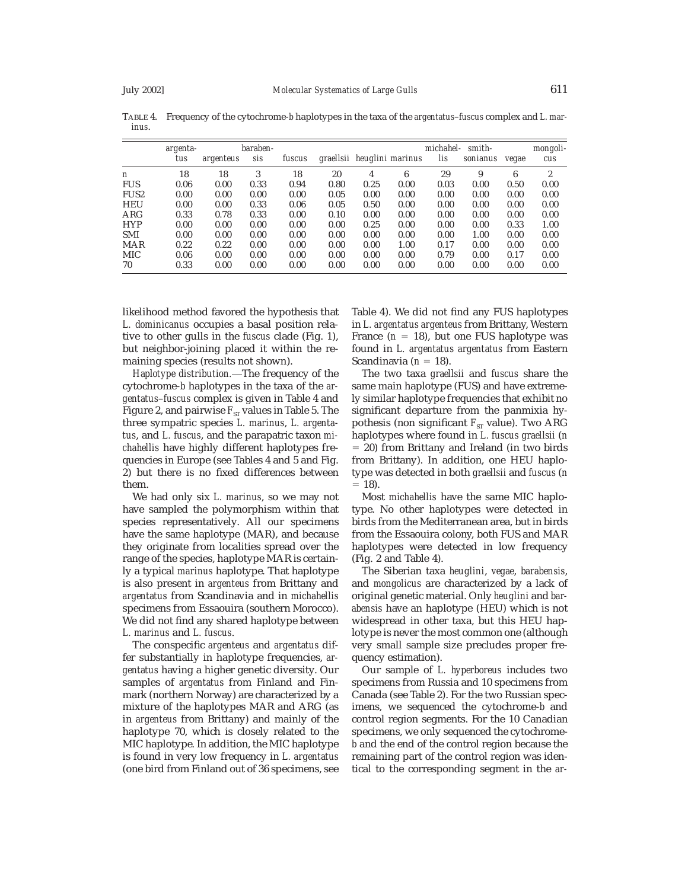|                  | argenta-<br>tus | argenteus | baraben-<br>sis | fuscus |      | graellsii heuglini marinus |      | michahel-<br>lis | smith-<br>sonianus | vegae | mongoli-<br>cus |
|------------------|-----------------|-----------|-----------------|--------|------|----------------------------|------|------------------|--------------------|-------|-----------------|
| $\boldsymbol{n}$ | 18              | 18        | 3               | 18     | 20   | 4                          | 6    | 29               | 9                  | 6     | 2               |
| <b>FUS</b>       | 0.06            | 0.00      | 0.33            | 0.94   | 0.80 | 0.25                       | 0.00 | 0.03             | 0.00               | 0.50  | 0.00            |
| FUS <sub>2</sub> | 0.00            | 0.00      | 0.00            | 0.00   | 0.05 | 0.00                       | 0.00 | 0.00             | 0.00               | 0.00  | 0.00            |
| <b>HEU</b>       | 0.00            | 0.00      | 0.33            | 0.06   | 0.05 | 0.50                       | 0.00 | 0.00             | 0.00               | 0.00  | 0.00            |
| ARG <sub>2</sub> | 0.33            | 0.78      | 0.33            | 0.00   | 0.10 | 0.00                       | 0.00 | 0.00             | 0.00               | 0.00  | 0.00            |
| <b>HYP</b>       | 0.00            | 0.00      | 0.00            | 0.00   | 0.00 | 0.25                       | 0.00 | 0.00             | 0.00               | 0.33  | 1.00            |
| <b>SMI</b>       | 0.00            | 0.00      | 0.00            | 0.00   | 0.00 | 0.00                       | 0.00 | 0.00             | 1.00               | 0.00  | 0.00            |
| <b>MAR</b>       | 0.22            | 0.22      | 0.00            | 0.00   | 0.00 | 0.00                       | 1.00 | 0.17             | 0.00               | 0.00  | 0.00            |
| <b>MIC</b>       | 0.06            | 0.00      | 0.00            | 0.00   | 0.00 | 0.00                       | 0.00 | 0.79             | 0.00               | 0.17  | 0.00            |
| 70               | 0.33            | 0.00      | 0.00            | 0.00   | 0.00 | 0.00                       | 0.00 | 0.00             | 0.00               | 0.00  | 0.00            |

TABLE 4. Frequency of the cytochrome-*b* haplotypes in the taxa of the *argentatus*–*fuscus* complex and *L. marinus*.

likelihood method favored the hypothesis that *L. dominicanus* occupies a basal position relative to other gulls in the *fuscus* clade (Fig. 1), but neighbor-joining placed it within the remaining species (results not shown).

*Haplotype distribution.* The frequency of the cytochrome-*b* haplotypes in the taxa of the *argentatus*–*fuscus* complex is given in Table 4 and Figure 2, and pairwise  $F_{ST}$  values in Table 5. The three sympatric species *L. marinus*, *L. argentatus*, and *L. fuscus*, and the parapatric taxon *michahellis* have highly different haplotypes frequencies in Europe (see Tables 4 and 5 and Fig. 2) but there is no fixed differences between them.

We had only six *L. marinus*, so we may not have sampled the polymorphism within that species representatively. All our specimens have the same haplotype (MAR), and because they originate from localities spread over the range of the species, haplotype MAR is certainly a typical *marinus* haplotype. That haplotype is also present in *argenteus* from Brittany and *argentatus* from Scandinavia and in *michahellis* specimens from Essaouira (southern Morocco). We did not find any shared haplotype between *L. marinus* and *L. fuscus*.

The conspecific *argenteus* and *argentatus* differ substantially in haplotype frequencies, *argentatus* having a higher genetic diversity. Our samples of *argentatus* from Finland and Finmark (northern Norway) are characterized by a mixture of the haplotypes MAR and ARG (as in *argenteus* from Brittany) and mainly of the haplotype 70, which is closely related to the MIC haplotype. In addition, the MIC haplotype is found in very low frequency in *L. argentatus* (one bird from Finland out of 36 specimens, see

Table 4). We did not find any FUS haplotypes in *L. argentatus argenteus* from Brittany, Western France  $(n = 18)$ , but one FUS haplotype was found in *L. argentatus argentatus* from Eastern Scandinavia ( $n = 18$ ).

The two taxa *graellsii* and *fuscus* share the same main haplotype (FUS) and have extremely similar haplotype frequencies that exhibit no significant departure from the panmixia hypothesis (non significant *F*<sub>ST</sub> value). Two ARG haplotypes where found in *L. fuscus graellsii* (*n*  $= 20$ ) from Brittany and Ireland (in two birds from Brittany). In addition, one HEU haplotype was detected in both *graellsii* and *fuscus* (*n*  $= 18$ .

Most *michahellis* have the same MIC haplotype. No other haplotypes were detected in birds from the Mediterranean area, but in birds from the Essaouira colony, both FUS and MAR haplotypes were detected in low frequency (Fig. 2 and Table 4).

The Siberian taxa *heuglini*, *vegae*, *barabensis*, and *mongolicus* are characterized by a lack of original genetic material. Only *heuglini* and *barabensis* have an haplotype (HEU) which is not widespread in other taxa, but this HEU haplotype is never the most common one (although very small sample size precludes proper frequency estimation).

Our sample of *L. hyperboreus* includes two specimens from Russia and 10 specimens from Canada (see Table 2). For the two Russian specimens, we sequenced the cytochrome-*b* and control region segments. For the 10 Canadian specimens, we only sequenced the cytochrome*b* and the end of the control region because the remaining part of the control region was identical to the corresponding segment in the *ar-*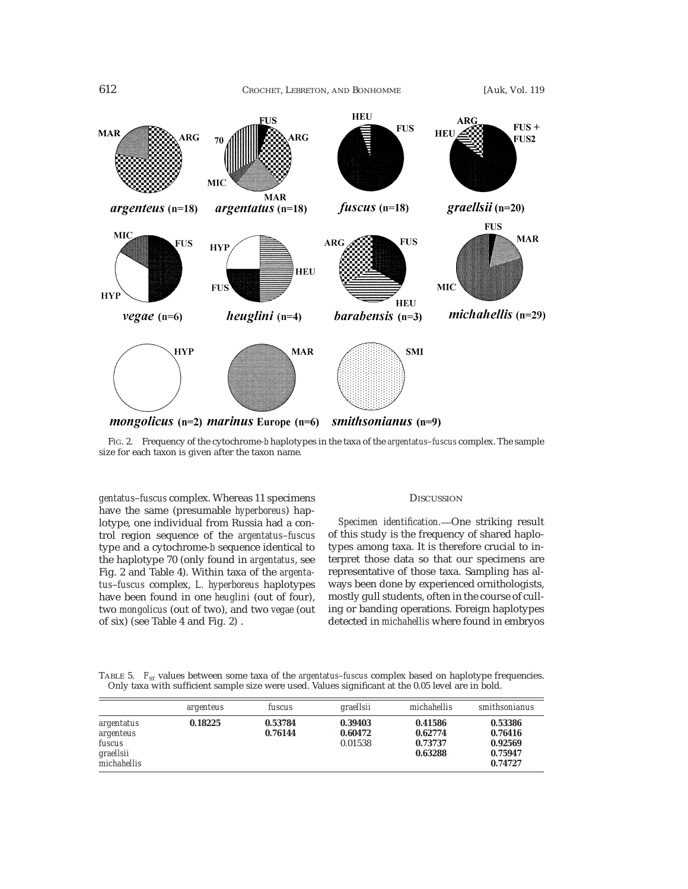

FIG. 2. Frequency of the cytochrome-*b* haplotypes in the taxa of the *argentatus*–*fuscus* complex. The sample size for each taxon is given after the taxon name.

*gentatus*–*fuscus* complex. Whereas 11 specimens have the same (presumable *hyperboreus*) haplotype, one individual from Russia had a control region sequence of the *argentatus*–*fuscus* type and a cytochrome-*b* sequence identical to the haplotype 70 (only found in *argentatus*, see Fig. 2 and Table 4). Within taxa of the *argentatus*–*fuscus* complex, *L. hyperboreus* haplotypes have been found in one *heuglini* (out of four), two *mongolicus* (out of two), and two *vegae* (out of six) (see Table 4 and Fig. 2) .

#### **DISCUSSION**

*Specimen identification.* One striking result of this study is the frequency of shared haplotypes among taxa. It is therefore crucial to interpret those data so that our specimens are representative of those taxa. Sampling has always been done by experienced ornithologists, mostly gull students, often in the course of culling or banding operations. Foreign haplotypes detected in *michahellis* where found in embryos

TABLE 5. *F<sub>ST</sub>* values between some taxa of the *argentatus*–*fuscus* complex based on haplotype frequencies. Only taxa with sufficient sample size were used. Values significant at the 0.05 level are in bold.

|                                                               | argenteus | fuscus             | graellsii                     | michahellis                              | smithsonianus                                       |
|---------------------------------------------------------------|-----------|--------------------|-------------------------------|------------------------------------------|-----------------------------------------------------|
| argentatus<br>argenteus<br>fuscus<br>graellsii<br>michahellis | 0.18225   | 0.53784<br>0.76144 | 0.39403<br>0.60472<br>0.01538 | 0.41586<br>0.62774<br>0.73737<br>0.63288 | 0.53386<br>0.76416<br>0.92569<br>0.75947<br>0.74727 |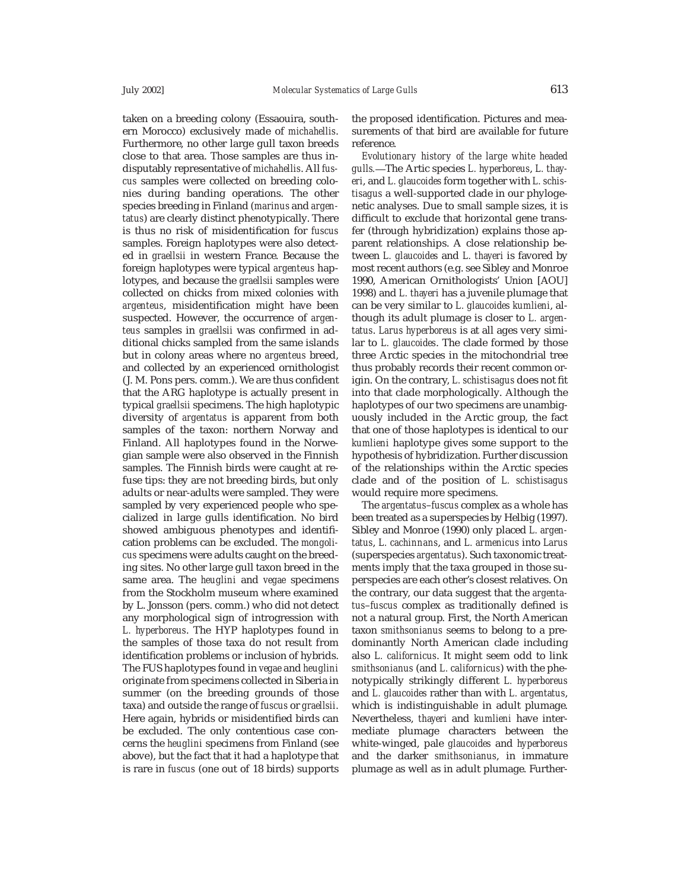taken on a breeding colony (Essaouira, southern Morocco) exclusively made of *michahellis*. Furthermore, no other large gull taxon breeds close to that area. Those samples are thus indisputably representative of *michahellis*. All *fuscus* samples were collected on breeding colonies during banding operations. The other species breeding in Finland (*marinus* and *argentatus*) are clearly distinct phenotypically. There is thus no risk of misidentification for *fuscus* samples. Foreign haplotypes were also detected in *graellsii* in western France. Because the foreign haplotypes were typical *argenteus* haplotypes, and because the *graellsii* samples were collected on chicks from mixed colonies with *argenteus*, misidentification might have been suspected. However, the occurrence of *argenteus* samples in *graellsii* was confirmed in additional chicks sampled from the same islands but in colony areas where no *argenteus* breed, and collected by an experienced ornithologist (J. M. Pons pers. comm.). We are thus confident that the ARG haplotype is actually present in typical *graellsii* specimens. The high haplotypic diversity of *argentatus* is apparent from both samples of the taxon: northern Norway and Finland. All haplotypes found in the Norwegian sample were also observed in the Finnish samples. The Finnish birds were caught at refuse tips: they are not breeding birds, but only adults or near-adults were sampled. They were sampled by very experienced people who specialized in large gulls identification. No bird showed ambiguous phenotypes and identification problems can be excluded. The *mongolicus* specimens were adults caught on the breeding sites. No other large gull taxon breed in the same area. The *heuglini* and *vegae* specimens from the Stockholm museum where examined by L. Jonsson (pers. comm.) who did not detect any morphological sign of introgression with *L. hyperboreus*. The HYP haplotypes found in the samples of those taxa do not result from identification problems or inclusion of hybrids. The FUS haplotypes found in *vegae* and *heuglini* originate from specimens collected in Siberia in summer (on the breeding grounds of those taxa) and outside the range of *fuscus* or *graellsii*. Here again, hybrids or misidentified birds can be excluded. The only contentious case concerns the *heuglini* specimens from Finland (see above), but the fact that it had a haplotype that is rare in *fuscus* (one out of 18 birds) supports

the proposed identification. Pictures and measurements of that bird are available for future reference.

*Evolutionary history of the large white headed gulls.* The Artic species *L. hyperboreus*, *L. thayeri*, and *L. glaucoides* form together with *L. schistisagus* a well-supported clade in our phylogenetic analyses. Due to small sample sizes, it is difficult to exclude that horizontal gene transfer (through hybridization) explains those apparent relationships. A close relationship between *L. glaucoides* and *L. thayeri* is favored by most recent authors (e.g. see Sibley and Monroe 1990, American Ornithologists' Union [AOU] 1998) and *L. thayeri* has a juvenile plumage that can be very similar to *L. glaucoides kumlieni*, although its adult plumage is closer to *L. argentatus*. *Larus hyperboreus* is at all ages very similar to *L. glaucoides*. The clade formed by those three Arctic species in the mitochondrial tree thus probably records their recent common origin. On the contrary, *L. schistisagus* does not fit into that clade morphologically. Although the haplotypes of our two specimens are unambiguously included in the Arctic group, the fact that one of those haplotypes is identical to our *kumlieni* haplotype gives some support to the hypothesis of hybridization. Further discussion of the relationships within the Arctic species clade and of the position of *L. schistisagus* would require more specimens.

The *argentatus*–*fuscus* complex as a whole has been treated as a superspecies by Helbig (1997). Sibley and Monroe (1990) only placed *L. argentatus*, *L. cachinnans*, and *L. armenicus* into *Larus* (superspecies *argentatus*). Such taxonomic treatments imply that the taxa grouped in those superspecies are each other's closest relatives. On the contrary, our data suggest that the *argentatus*–*fuscus* complex as traditionally defined is not a natural group. First, the North American taxon *smithsonianus* seems to belong to a predominantly North American clade including also *L. californicus*. It might seem odd to link *smithsonianus* (and *L. californicus*) with the phenotypically strikingly different *L. hyperboreus* and *L. glaucoides* rather than with *L. argentatus*, which is indistinguishable in adult plumage. Nevertheless, *thayeri* and *kumlieni* have intermediate plumage characters between the white-winged, pale *glaucoides* and *hyperboreus* and the darker *smithsonianus*, in immature plumage as well as in adult plumage. Further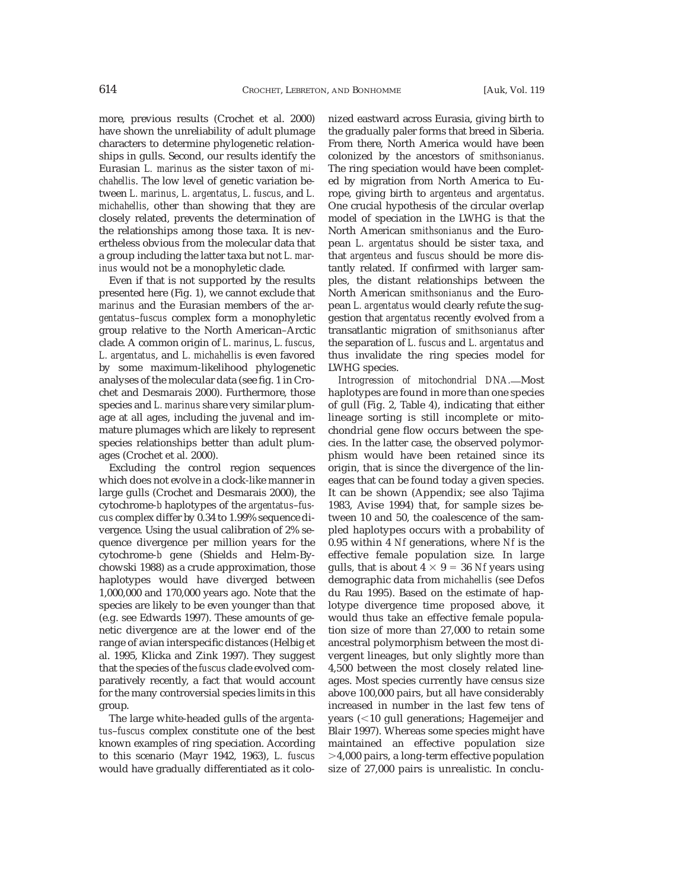more, previous results (Crochet et al. 2000) have shown the unreliability of adult plumage characters to determine phylogenetic relationships in gulls. Second, our results identify the Eurasian *L. marinus* as the sister taxon of *michahellis*. The low level of genetic variation between *L. marinus*, *L. argentatus*, *L. fuscus*, and *L. michahellis*, other than showing that they are closely related, prevents the determination of the relationships among those taxa. It is nevertheless obvious from the molecular data that a group including the latter taxa but not *L. marinus* would not be a monophyletic clade.

Even if that is not supported by the results presented here (Fig. 1), we cannot exclude that *marinus* and the Eurasian members of the *argentatus*–*fuscus* complex form a monophyletic group relative to the North American–Arctic clade. A common origin of *L. marinus*, *L. fuscus*, *L. argentatus*, and *L. michahellis* is even favored by some maximum-likelihood phylogenetic analyses of the molecular data (see fig. 1 in Crochet and Desmarais 2000). Furthermore, those species and *L. marinus* share very similar plumage at all ages, including the juvenal and immature plumages which are likely to represent species relationships better than adult plumages (Crochet et al. 2000).

Excluding the control region sequences which does not evolve in a clock-like manner in large gulls (Crochet and Desmarais 2000), the cytochrome-*b* haplotypes of the *argentatus*–*fuscus* complex differ by 0.34 to 1.99% sequence divergence. Using the usual calibration of 2% sequence divergence per million years for the cytochrome-*b* gene (Shields and Helm-Bychowski 1988) as a crude approximation, those haplotypes would have diverged between 1,000,000 and 170,000 years ago. Note that the species are likely to be even younger than that (e.g. see Edwards 1997). These amounts of genetic divergence are at the lower end of the range of avian interspecific distances (Helbig et al. 1995, Klicka and Zink 1997). They suggest that the species of the *fuscus* clade evolved comparatively recently, a fact that would account for the many controversial species limits in this group.

The large white-headed gulls of the *argentatus*–*fuscus* complex constitute one of the best known examples of ring speciation. According to this scenario (Mayr 1942, 1963), *L. fuscus* would have gradually differentiated as it colonized eastward across Eurasia, giving birth to the gradually paler forms that breed in Siberia. From there, North America would have been colonized by the ancestors of *smithsonianus*. The ring speciation would have been completed by migration from North America to Europe, giving birth to *argenteus* and *argentatus*. One crucial hypothesis of the circular overlap model of speciation in the LWHG is that the North American *smithsonianus* and the European *L. argentatus* should be sister taxa, and that *argenteus* and *fuscus* should be more distantly related. If confirmed with larger samples, the distant relationships between the North American *smithsonianus* and the European *L. argentatus* would clearly refute the suggestion that *argentatus* recently evolved from a transatlantic migration of *smithsonianus* after the separation of *L. fuscus* and *L. argentatus* and thus invalidate the ring species model for LWHG species.

Introgression of mitochondrial DNA.-Most haplotypes are found in more than one species of gull (Fig. 2, Table 4), indicating that either lineage sorting is still incomplete or mitochondrial gene flow occurs between the species. In the latter case, the observed polymorphism would have been retained since its origin, that is since the divergence of the lineages that can be found today a given species. It can be shown (Appendix; see also Tajima 1983, Avise 1994) that, for sample sizes between 10 and 50, the coalescence of the sampled haplotypes occurs with a probability of 0.95 within 4 *Nf* generations, where *Nf* is the effective female population size. In large gulls, that is about  $4 \times 9 = 36$  *Nf* years using demographic data from *michahellis* (see Defos du Rau 1995). Based on the estimate of haplotype divergence time proposed above, it would thus take an effective female population size of more than 27,000 to retain some ancestral polymorphism between the most divergent lineages, but only slightly more than 4,500 between the most closely related lineages. Most species currently have census size above 100,000 pairs, but all have considerably increased in number in the last few tens of years  $\left($  <10 gull generations; Hagemeijer and Blair 1997). Whereas some species might have maintained an effective population size  $>4,000$  pairs, a long-term effective population size of 27,000 pairs is unrealistic. In conclu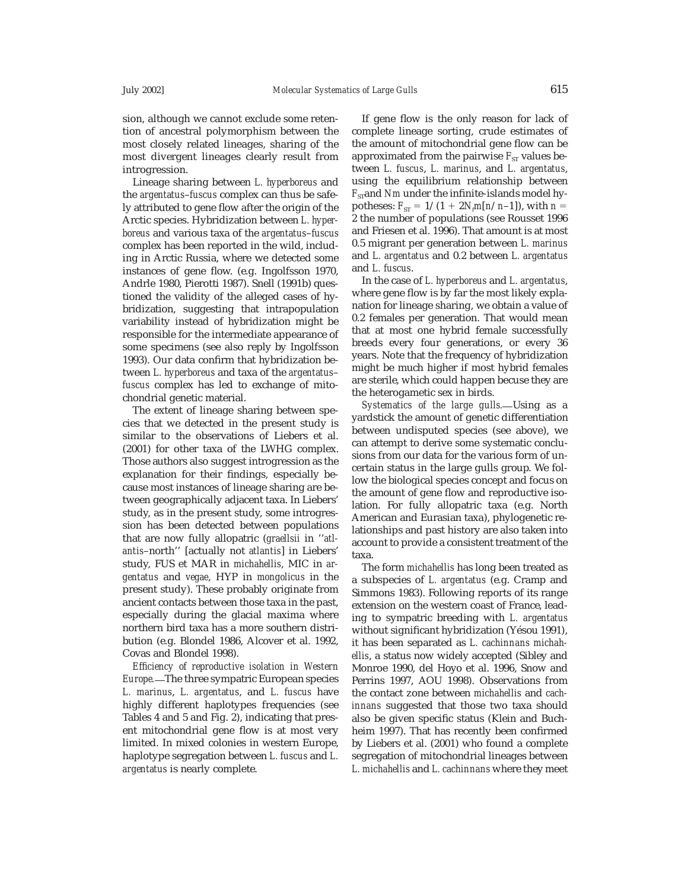sion, although we cannot exclude some retention of ancestral polymorphism between the most closely related lineages, sharing of the most divergent lineages clearly result from introgression.

Lineage sharing between *L. hyperboreus* and the *argentatus*–*fuscus* complex can thus be safely attributed to gene flow after the origin of the Arctic species. Hybridization between *L. hyperboreus* and various taxa of the *argentatus*–*fuscus* complex has been reported in the wild, including in Arctic Russia, where we detected some instances of gene flow. (e.g. Ingolfsson 1970, Andrle 1980, Pierotti 1987). Snell (1991b) questioned the validity of the alleged cases of hybridization, suggesting that intrapopulation variability instead of hybridization might be responsible for the intermediate appearance of some specimens (see also reply by Ingolfsson 1993). Our data confirm that hybridization between *L. hyperboreus* and taxa of the *argentatus*– *fuscus* complex has led to exchange of mitochondrial genetic material.

The extent of lineage sharing between species that we detected in the present study is similar to the observations of Liebers et al. (2001) for other taxa of the LWHG complex. Those authors also suggest introgression as the explanation for their findings, especially because most instances of lineage sharing are between geographically adjacent taxa. In Liebers' study, as in the present study, some introgression has been detected between populations that are now fully allopatric (*graellsii* in ''*atlantis*–north'' [actually not *atlantis*] in Liebers' study, FUS et MAR in *michahellis*, MIC in *argentatus* and *vegae*, HYP in *mongolicus* in the present study). These probably originate from ancient contacts between those taxa in the past, especially during the glacial maxima where northern bird taxa has a more southern distribution (e.g. Blondel 1986, Alcover et al. 1992, Covas and Blondel 1998).

*Efficiency of reproductive isolation in Western Europe.* The three sympatric European species *L. marinus*, *L. argentatus*, and *L. fuscus* have highly different haplotypes frequencies (see Tables 4 and 5 and Fig. 2), indicating that present mitochondrial gene flow is at most very limited. In mixed colonies in western Europe, haplotype segregation between *L. fuscus* and *L. argentatus* is nearly complete.

If gene flow is the only reason for lack of complete lineage sorting, crude estimates of the amount of mitochondrial gene flow can be approximated from the pairwise  $F_{ST}$  values between *L. fuscus*, *L. marinus*, and *L. argentatus*, using the equilibrium relationship between  $F_{ST}$ and *Nm* under the infinite-islands model hypotheses:  $F_{ST} = 1/(1 + 2N_f m[n/n-1])$ , with  $n =$ 2 the number of populations (see Rousset 1996 and Friesen et al. 1996). That amount is at most 0.5 migrant per generation between *L. marinus* and *L. argentatus* and 0.2 between *L. argentatus* and *L. fuscus*.

In the case of *L. hyperboreus* and *L. argentatus*, where gene flow is by far the most likely explanation for lineage sharing, we obtain a value of 0.2 females per generation. That would mean that at most one hybrid female successfully breeds every four generations, or every 36 years. Note that the frequency of hybridization might be much higher if most hybrid females are sterile, which could happen becuse they are the heterogametic sex in birds.

*Systematics of the large gulls.* Using as a yardstick the amount of genetic differentiation between undisputed species (see above), we can attempt to derive some systematic conclusions from our data for the various form of uncertain status in the large gulls group. We follow the biological species concept and focus on the amount of gene flow and reproductive isolation. For fully allopatric taxa (e.g. North American and Eurasian taxa), phylogenetic relationships and past history are also taken into account to provide a consistent treatment of the taxa.

The form *michahellis* has long been treated as a subspecies of *L. argentatus* (e.g. Cramp and Simmons 1983). Following reports of its range extension on the western coast of France, leading to sympatric breeding with *L. argentatus* without significant hybridization (Yésou 1991), it has been separated as *L. cachinnans michahellis*, a status now widely accepted (Sibley and Monroe 1990, del Hoyo et al. 1996, Snow and Perrins 1997, AOU 1998). Observations from the contact zone between *michahellis* and *cachinnans* suggested that those two taxa should also be given specific status (Klein and Buchheim 1997). That has recently been confirmed by Liebers et al. (2001) who found a complete segregation of mitochondrial lineages between *L. michahellis* and *L. cachinnans* where they meet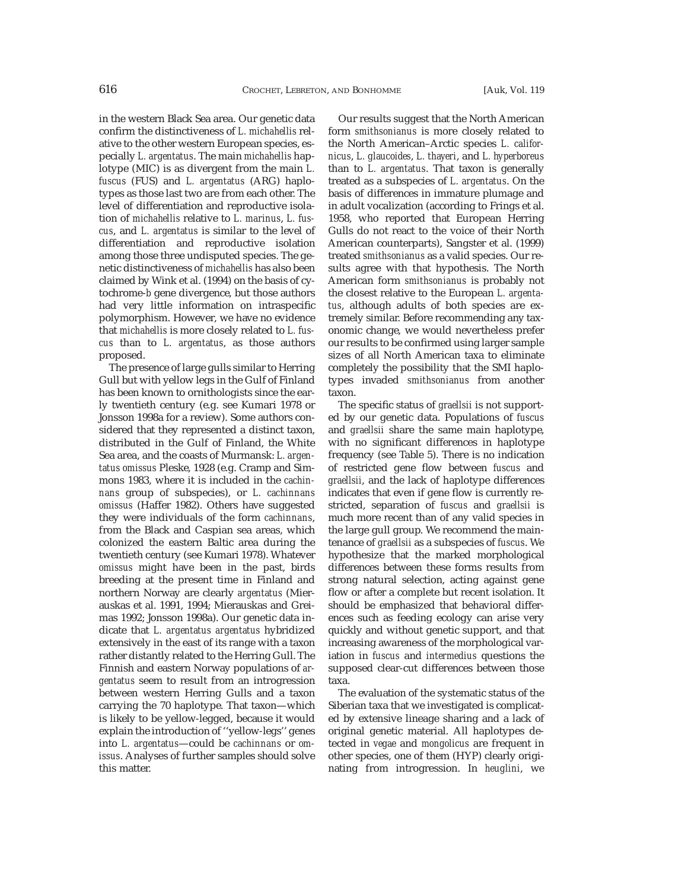in the western Black Sea area. Our genetic data confirm the distinctiveness of *L. michahellis* relative to the other western European species, especially *L. argentatus*. The main *michahellis* haplotype (MIC) is as divergent from the main *L. fuscus* (FUS) and *L. argentatus* (ARG) haplotypes as those last two are from each other. The level of differentiation and reproductive isolation of *michahellis* relative to *L. marinus*, *L. fuscus*, and *L. argentatus* is similar to the level of differentiation and reproductive isolation among those three undisputed species. The genetic distinctiveness of *michahellis* has also been claimed by Wink et al. (1994) on the basis of cytochrome-*b* gene divergence, but those authors had very little information on intraspecific polymorphism. However, we have no evidence that *michahellis* is more closely related to *L. fuscus* than to *L. argentatus*, as those authors proposed.

The presence of large gulls similar to Herring Gull but with yellow legs in the Gulf of Finland has been known to ornithologists since the early twentieth century (e.g. see Kumari 1978 or Jonsson 1998a for a review). Some authors considered that they represented a distinct taxon, distributed in the Gulf of Finland, the White Sea area, and the coasts of Murmansk: *L. argentatus omissus* Pleske, 1928 (e.g. Cramp and Simmons 1983, where it is included in the *cachinnans* group of subspecies), or *L. cachinnans omissus* (Haffer 1982). Others have suggested they were individuals of the form *cachinnans*, from the Black and Caspian sea areas, which colonized the eastern Baltic area during the twentieth century (see Kumari 1978). Whatever *omissus* might have been in the past, birds breeding at the present time in Finland and northern Norway are clearly *argentatus* (Mierauskas et al. 1991, 1994; Mierauskas and Greimas 1992; Jonsson 1998a). Our genetic data indicate that *L. argentatus argentatus* hybridized extensively in the east of its range with a taxon rather distantly related to the Herring Gull. The Finnish and eastern Norway populations of *argentatus* seem to result from an introgression between western Herring Gulls and a taxon carrying the 70 haplotype. That taxon—which is likely to be yellow-legged, because it would explain the introduction of ''yellow-legs'' genes into *L. argentatus*—could be *cachinnans* or *omissus*. Analyses of further samples should solve this matter.

Our results suggest that the North American form *smithsonianus* is more closely related to the North American–Arctic species *L. californicus*, *L. glaucoides*, *L. thayeri*, and *L. hyperboreus* than to *L. argentatus*. That taxon is generally treated as a subspecies of *L. argentatus*. On the basis of differences in immature plumage and in adult vocalization (according to Frings et al. 1958, who reported that European Herring Gulls do not react to the voice of their North American counterparts), Sangster et al. (1999) treated *smithsonianus* as a valid species. Our results agree with that hypothesis. The North American form *smithsonianus* is probably not the closest relative to the European *L. argentatus*, although adults of both species are extremely similar. Before recommending any taxonomic change, we would nevertheless prefer our results to be confirmed using larger sample sizes of all North American taxa to eliminate completely the possibility that the SMI haplotypes invaded *smithsonianus* from another taxon.

The specific status of *graellsii* is not supported by our genetic data. Populations of *fuscus* and *graellsii* share the same main haplotype, with no significant differences in haplotype frequency (see Table 5). There is no indication of restricted gene flow between *fuscus* and *graellsii*, and the lack of haplotype differences indicates that even if gene flow is currently restricted, separation of *fuscus* and *graellsii* is much more recent than of any valid species in the large gull group. We recommend the maintenance of *graellsii* as a subspecies of *fuscus*. We hypothesize that the marked morphological differences between these forms results from strong natural selection, acting against gene flow or after a complete but recent isolation. It should be emphasized that behavioral differences such as feeding ecology can arise very quickly and without genetic support, and that increasing awareness of the morphological variation in *fuscus* and *intermedius* questions the supposed clear-cut differences between those taxa.

The evaluation of the systematic status of the Siberian taxa that we investigated is complicated by extensive lineage sharing and a lack of original genetic material. All haplotypes detected in *vegae* and *mongolicus* are frequent in other species, one of them (HYP) clearly originating from introgression. In *heuglini*, we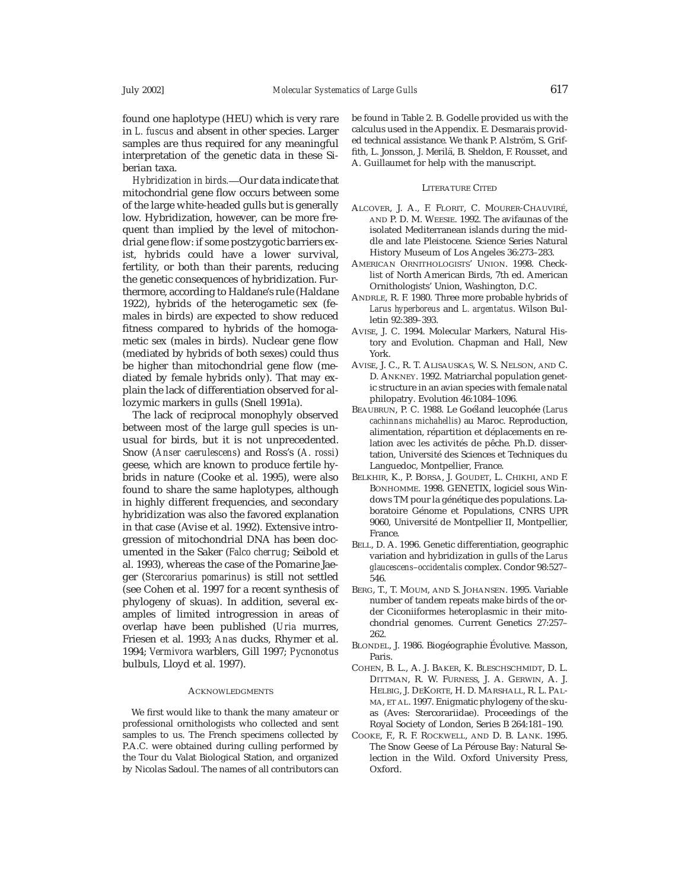found one haplotype (HEU) which is very rare in *L. fuscus* and absent in other species. Larger samples are thus required for any meaningful interpretation of the genetic data in these Siberian taxa.

*Hybridization in birds.* - Our data indicate that mitochondrial gene flow occurs between some of the large white-headed gulls but is generally low. Hybridization, however, can be more frequent than implied by the level of mitochondrial gene flow: if some postzygotic barriers exist, hybrids could have a lower survival, fertility, or both than their parents, reducing the genetic consequences of hybridization. Furthermore, according to Haldane's rule (Haldane 1922), hybrids of the heterogametic sex (females in birds) are expected to show reduced fitness compared to hybrids of the homogametic sex (males in birds). Nuclear gene flow (mediated by hybrids of both sexes) could thus be higher than mitochondrial gene flow (mediated by female hybrids only). That may explain the lack of differentiation observed for allozymic markers in gulls (Snell 1991a).

The lack of reciprocal monophyly observed between most of the large gull species is unusual for birds, but it is not unprecedented. Snow (*Anser caerulescens*) and Ross's (*A. rossi*) geese, which are known to produce fertile hybrids in nature (Cooke et al. 1995), were also found to share the same haplotypes, although in highly different frequencies, and secondary hybridization was also the favored explanation in that case (Avise et al. 1992). Extensive introgression of mitochondrial DNA has been documented in the Saker (*Falco cherrug*; Seibold et al. 1993), whereas the case of the Pomarine Jaeger (*Stercorarius pomarinus*) is still not settled (see Cohen et al. 1997 for a recent synthesis of phylogeny of skuas). In addition, several examples of limited introgression in areas of overlap have been published (*Uria* murres, Friesen et al. 1993; *Anas* ducks, Rhymer et al. 1994; *Vermivora* warblers, Gill 1997; *Pycnonotus* bulbuls, Lloyd et al. 1997).

## ACKNOWLEDGMENTS

We first would like to thank the many amateur or professional ornithologists who collected and sent samples to us. The French specimens collected by P.A.C. were obtained during culling performed by the Tour du Valat Biological Station, and organized by Nicolas Sadoul. The names of all contributors can be found in Table 2. B. Godelle provided us with the calculus used in the Appendix. E. Desmarais provided technical assistance. We thank P. Alström, S. Griffith, L. Jonsson, J. Merilä, B. Sheldon, F. Rousset, and A. Guillaumet for help with the manuscript.

#### LITERATURE CITED

- ALCOVER, J. A., F. FLORIT, C. MOURER-CHAUVIRÉ, AND P. D. M. WEESIE. 1992. The avifaunas of the isolated Mediterranean islands during the middle and late Pleistocene. Science Series Natural History Museum of Los Angeles 36:273–283.
- AMERICAN ORNITHOLOGISTS' UNION. 1998. Checklist of North American Birds, 7th ed. American Ornithologists' Union, Washington, D.C.
- ANDRLE, R. F. 1980. Three more probable hybrids of *Larus hyperboreus* and *L. argentatus*. Wilson Bulletin 92:389–393.
- AVISE, J. C. 1994. Molecular Markers, Natural History and Evolution. Chapman and Hall, New York.
- AVISE, J. C., R. T. ALISAUSKAS, W. S. NELSON, AND C. D. ANKNEY. 1992. Matriarchal population genetic structure in an avian species with female natal philopatry. Evolution 46:1084–1096.
- BEAUBRUN, P. C. 1988. Le Goéland leucophée (*Larus cachinnans michahellis*) au Maroc. Reproduction, alimentation, répartition et déplacements en relation avec les activités de pêche. Ph.D. dissertation, Université des Sciences et Techniques du Languedoc, Montpellier, France.
- BELKHIR, K., P. BORSA, J. GOUDET, L. CHIKHI, AND F. BONHOMME. 1998. GENETIX, logiciel sous Windows TM pour la génétique des populations. Laboratoire Génome et Populations, CNRS UPR 9060, Université de Montpellier II, Montpellier, France.
- BELL, D. A. 1996. Genetic differentiation, geographic variation and hybridization in gulls of the *Larus glaucescens*–*occidentalis* complex. Condor 98:527– 546.
- BERG, T., T. MOUM, AND S. JOHANSEN. 1995. Variable number of tandem repeats make birds of the order Ciconiiformes heteroplasmic in their mitochondrial genomes. Current Genetics 27:257– 262.
- BLONDEL, J. 1986. Biogéographie Evolutive. Masson, Paris.
- COHEN, B. L., A. J. BAKER, K. BLESCHSCHMIDT, D. L. DITTMAN, R. W. FURNESS, J. A. GERWIN, A. J. HELBIG, J. DEKORTE, H. D. MARSHALL, R. L. PAL-MA, ET AL. 1997. Enigmatic phylogeny of the skuas (Aves: Stercorariidae). Proceedings of the Royal Society of London, Series B 264:181–190.
- COOKE, F., R. F. ROCKWELL, AND D. B. LANK. 1995. The Snow Geese of La Pérouse Bay: Natural Selection in the Wild. Oxford University Press, Oxford.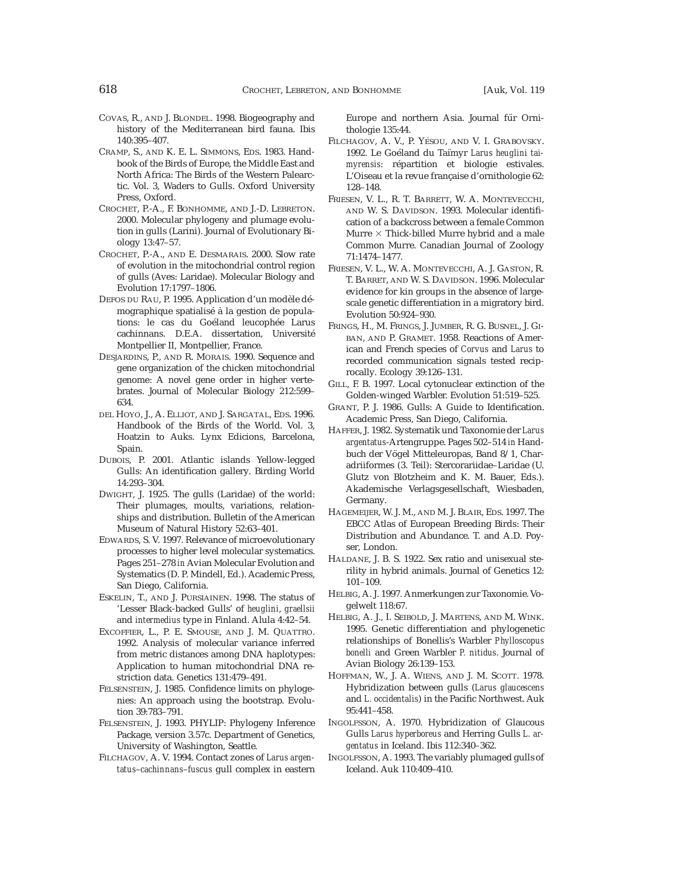- COVAS, R., AND J. BLONDEL. 1998. Biogeography and history of the Mediterranean bird fauna. Ibis 140:395–407.
- CRAMP, S., AND K. E. L. SIMMONS, EDS. 1983. Handbook of the Birds of Europe, the Middle East and North Africa: The Birds of the Western Palearctic. Vol. 3, Waders to Gulls. Oxford University Press, Oxford.
- CROCHET, P.-A., F. BONHOMME, AND J.-D. LEBRETON. 2000. Molecular phylogeny and plumage evolution in gulls (Larini). Journal of Evolutionary Biology 13:47–57.
- CROCHET, P.-A., AND E. DESMARAIS. 2000. Slow rate of evolution in the mitochondrial control region of gulls (Aves: Laridae). Molecular Biology and Evolution 17:1797–1806.
- DEFOS DU RAU, P. 1995. Application d'un modèle démographique spatialisé à la gestion de populations: le cas du Goéland leucophée Larus cachinnans. D.E.A. dissertation, Universite´ Montpellier II, Montpellier, France.
- DESJARDINS, P., AND R. MORAIS. 1990. Sequence and gene organization of the chicken mitochondrial genome: A novel gene order in higher vertebrates. Journal of Molecular Biology 212:599– 634.
- DEL HOYO, J., A. ELLIOT, AND J. SARGATAL, EDS. 1996. Handbook of the Birds of the World. Vol. 3, Hoatzin to Auks. Lynx Edicions, Barcelona, Spain.
- DUBOIS, P. 2001. Atlantic islands Yellow-legged Gulls: An identification gallery. Birding World 14:293–304.
- DWIGHT, J. 1925. The gulls (Laridae) of the world: Their plumages, moults, variations, relationships and distribution. Bulletin of the American Museum of Natural History 52:63–401.
- EDWARDS, S. V. 1997. Relevance of microevolutionary processes to higher level molecular systematics. Pages 251–278 *in* Avian Molecular Evolution and Systematics (D. P. Mindell, Ed.). Academic Press, San Diego, California.
- ESKELIN, T., AND J. PURSIAINEN. 1998. The status of 'Lesser Black-backed Gulls' of *heuglini*, *graellsii* and *intermedius* type in Finland. Alula 4:42–54.
- EXCOFFIER, L., P. E. SMOUSE, AND J. M. QUATTRO. 1992. Analysis of molecular variance inferred from metric distances among DNA haplotypes: Application to human mitochondrial DNA restriction data. Genetics 131:479–491.
- FELSENSTEIN, J. 1985. Confidence limits on phylogenies: An approach using the bootstrap. Evolution 39:783–791.
- FELSENSTEIN, J. 1993. PHYLIP: Phylogeny Inference Package, version 3.57c. Department of Genetics, University of Washington, Seattle.
- FILCHAGOV, A. V. 1994. Contact zones of *Larus argentatus*–*cachinnans*–*fuscus* gull complex in eastern

Europe and northern Asia. Journal für Ornithologie 135:44.

- FILCHAGOV, A. V., P. YÉSOU, AND V. I. GRABOVSKY. 1992. Le Goéland du Taïmyr Larus heuglini tai*myrensis*: répartition et biologie estivales. L'Oiseau et la revue française d'ornithologie 62: 128–148.
- FRIESEN, V. L., R. T. BARRETT, W. A. MONTEVECCHI, AND W. S. DAVIDSON. 1993. Molecular identification of a backcross between a female Common Murre  $\times$  Thick-billed Murre hybrid and a male Common Murre. Canadian Journal of Zoology 71:1474–1477.
- FRIESEN, V. L., W. A. MONTEVECCHI, A. J. GASTON, R. T. BARRET, AND W. S. DAVIDSON. 1996. Molecular evidence for kin groups in the absence of largescale genetic differentiation in a migratory bird. Evolution 50:924–930.
- FRINGS, H., M. FRINGS, J. JUMBER, R. G. BUSNEL, J. GI-BAN, AND P. GRAMET. 1958. Reactions of American and French species of *Corvus* and *Larus* to recorded communication signals tested reciprocally. Ecology 39:126–131.
- GILL, F. B. 1997. Local cytonuclear extinction of the Golden-winged Warbler. Evolution 51:519–525.
- GRANT, P. J. 1986. Gulls: A Guide to Identification. Academic Press, San Diego, California.
- HAFFER, J. 1982. Systematik und Taxonomie der *Larus argentatus*-Artengruppe. Pages 502–514 *in* Handbuch der Vögel Mitteleuropas, Band 8/1, Charadriiformes (3. Teil): Stercorariidae–Laridae (U. Glutz von Blotzheim and K. M. Bauer, Eds.). Akademische Verlagsgesellschaft, Wiesbaden, Germany.
- HAGEMEIJER, W. J. M., AND M. J. BLAIR, EDS. 1997. The EBCC Atlas of European Breeding Birds: Their Distribution and Abundance. T. and A.D. Poyser, London.
- HALDANE, J. B. S. 1922. Sex ratio and unisexual sterility in hybrid animals. Journal of Genetics 12: 101–109.
- HELBIG, A. J. 1997. Anmerkungen zur Taxonomie. Vogelwelt 118:67.
- HELBIG, A. J., I. SEIBOLD, J. MARTENS, AND M. WINK. 1995. Genetic differentiation and phylogenetic relationships of Bonellis's Warbler *Phylloscopus bonelli* and Green Warbler *P. nitidus*. Journal of Avian Biology 26:139–153.
- HOFFMAN, W., J. A. WIENS, AND J. M. SCOTT. 1978. Hybridization between gulls (*Larus glaucescens* and *L. occidentalis*) in the Pacific Northwest. Auk 95:441–458.
- INGOLFSSON, A. 1970. Hybridization of Glaucous Gulls *Larus hyperboreus* and Herring Gulls *L. argentatus* in Iceland. Ibis 112:340–362.
- INGOLFSSON, A. 1993. The variably plumaged gulls of Iceland. Auk 110:409–410.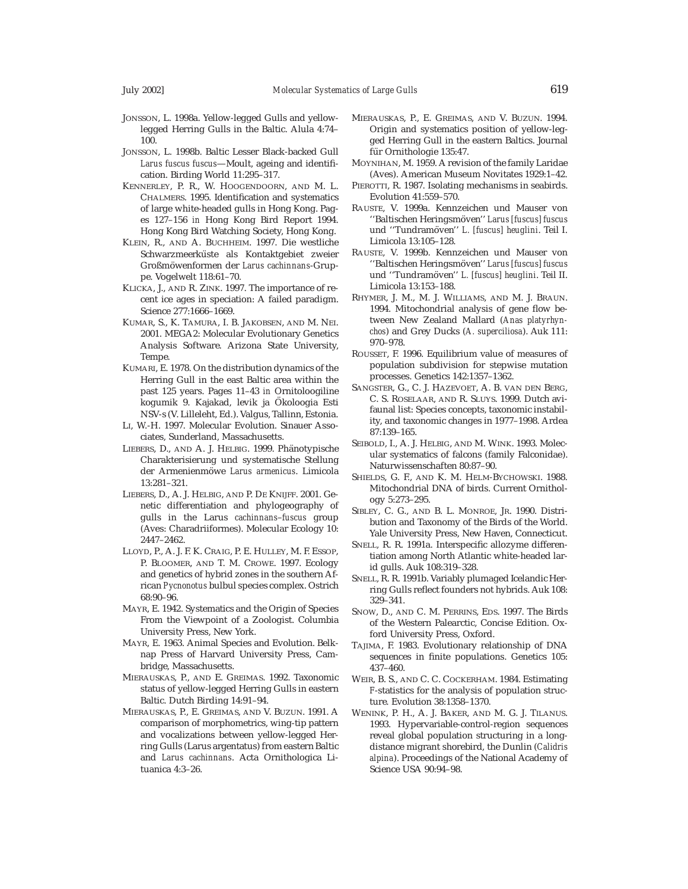- JONSSON, L. 1998a. Yellow-legged Gulls and yellowlegged Herring Gulls in the Baltic. Alula 4:74– 100.
- JONSSON, L. 1998b. Baltic Lesser Black-backed Gull *Larus fuscus fuscus*—Moult, ageing and identification. Birding World 11:295–317.
- KENNERLEY, P. R., W. HOOGENDOORN, AND M. L. CHALMERS. 1995. Identification and systematics of large white-headed gulls in Hong Kong. Pages 127–156 *in* Hong Kong Bird Report 1994. Hong Kong Bird Watching Society, Hong Kong.
- KLEIN, R., AND A. BUCHHEIM. 1997. Die westliche Schwarzmeerküste als Kontaktgebiet zweier Großmo¨ wenformen der *Larus cachinnans*-Gruppe. Vogelwelt 118:61–70.
- KLICKA, J., AND R. ZINK. 1997. The importance of recent ice ages in speciation: A failed paradigm. Science 277:1666–1669.
- KUMAR, S., K. TAMURA, I. B. JAKOBSEN, AND M. NEI. 2001. MEGA2: Molecular Evolutionary Genetics Analysis Software. Arizona State University, Tempe.
- KUMARI, E. 1978. On the distribution dynamics of the Herring Gull in the east Baltic area within the past 125 years. Pages 11–43 *in* Ornitoloogiline kogumik 9. Kajakad, levik ja Ökoloogia Esti NSV-s (V. Lilleleht, Ed.). Valgus, Tallinn, Estonia.
- LI, W.-H. 1997. Molecular Evolution. Sinauer Associates, Sunderland, Massachusetts.
- LIEBERS, D., AND A. J. HELBIG. 1999. Phänotypische Charakterisierung und systematische Stellung der Armenienmöwe Larus armenicus. Limicola 13:281–321.
- LIEBERS, D., A. J. HELBIG, AND P. DE KNIJFF. 2001. Genetic differentiation and phylogeography of gulls in the Larus *cachinnans*–*fuscus* group (Aves: Charadriiformes). Molecular Ecology 10: 2447–2462.
- LLOYD, P., A. J. F. K. CRAIG, P. E. HULLEY, M. F. ESSOP, P. BLOOMER, AND T. M. CROWE. 1997. Ecology and genetics of hybrid zones in the southern African *Pycnonotus* bulbul species complex. Ostrich 68:90–96.
- MAYR, E. 1942. Systematics and the Origin of Species From the Viewpoint of a Zoologist. Columbia University Press, New York.
- MAYR, E. 1963. Animal Species and Evolution. Belknap Press of Harvard University Press, Cambridge, Massachusetts.
- MIERAUSKAS, P., AND E. GREIMAS. 1992. Taxonomic status of yellow-legged Herring Gulls in eastern Baltic. Dutch Birding 14:91–94.
- MIERAUSKAS, P., E. GREIMAS, AND V. BUZUN. 1991. A comparison of morphometrics, wing-tip pattern and vocalizations between yellow-legged Herring Gulls (Larus argentatus) from eastern Baltic and *Larus cachinnans*. Acta Ornithologica Lituanica 4:3–26.
- MIERAUSKAS, P., E. GREIMAS, AND V. BUZUN. 1994. Origin and systematics position of yellow-legged Herring Gull in the eastern Baltics. Journal für Ornithologie 135:47.
- MOYNIHAN, M. 1959. A revision of the family Laridae (Aves). American Museum Novitates 1929:1–42.
- PIEROTTI, R. 1987. Isolating mechanisms in seabirds. Evolution 41:559–570.
- RAUSTE, V. 1999a. Kennzeichen und Mauser von ''Baltischen Heringsmo¨ ven'' *Larus [fuscus] fuscus* und "Tundramöven" *L. [fuscus] heuglini*. Teil I. Limicola 13:105–128.
- RAUSTE, V. 1999b. Kennzeichen und Mauser von ''Baltischen Heringsmo¨ ven'' *Larus [fuscus] fuscus* und "Tundramöven" *L. [fuscus] heuglini*. Teil II. Limicola 13:153–188.
- RHYMER, J. M., M. J. WILLIAMS, AND M. J. BRAUN. 1994. Mitochondrial analysis of gene flow between New Zealand Mallard (*Anas platyrhynchos*) and Grey Ducks (*A. superciliosa*). Auk 111: 970–978.
- ROUSSET, F. 1996. Equilibrium value of measures of population subdivision for stepwise mutation processes. Genetics 142:1357–1362.
- SANGSTER, G., C. J. HAZEVOET, A. B. VAN DEN BERG, C. S. ROSELAAR, AND R. SLUYS. 1999. Dutch avifaunal list: Species concepts, taxonomic instability, and taxonomic changes in 1977–1998. Ardea 87:139–165.
- SEIBOLD, I., A. J. HELBIG, AND M. WINK. 1993. Molecular systematics of falcons (family Falconidae). Naturwissenschaften 80:87–90.
- SHIELDS, G. F., AND K. M. HELM-BYCHOWSKI. 1988. Mitochondrial DNA of birds. Current Ornithology 5:273–295.
- SIBLEY, C. G., AND B. L. MONROE, JR. 1990. Distribution and Taxonomy of the Birds of the World. Yale University Press, New Haven, Connecticut.
- SNELL, R. R. 1991a. Interspecific allozyme differentiation among North Atlantic white-headed larid gulls. Auk 108:319–328.
- SNELL, R. R. 1991b. Variably plumaged Icelandic Herring Gulls reflect founders not hybrids. Auk 108: 329–341.
- SNOW, D., AND C. M. PERRINS, EDS. 1997. The Birds of the Western Palearctic, Concise Edition. Oxford University Press, Oxford.
- TAJIMA, F. 1983. Evolutionary relationship of DNA sequences in finite populations. Genetics 105: 437–460.
- WEIR, B. S., AND C. C. COCKERHAM. 1984. Estimating *F*-statistics for the analysis of population structure. Evolution 38:1358–1370.
- WENINK, P. H., A. J. BAKER, AND M. G. J. TILANUS. 1993. Hypervariable-control-region sequences reveal global population structuring in a longdistance migrant shorebird, the Dunlin (*Calidris alpina*). Proceedings of the National Academy of Science USA 90:94–98.